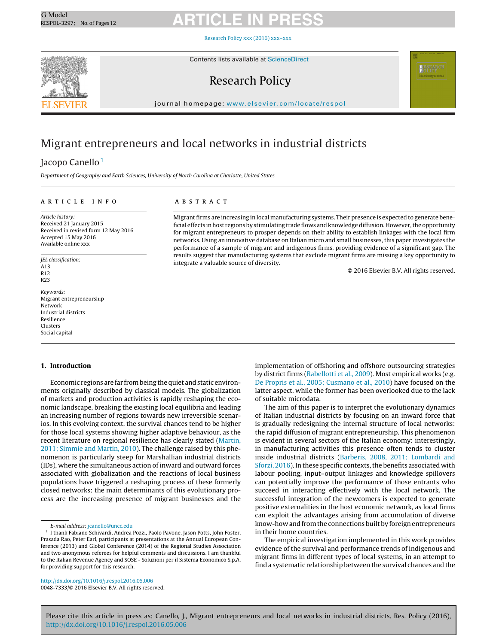[Research](dx.doi.org/10.1016/j.respol.2016.05.006) Policy xxx (2016) xxx–xxx



Contents lists available at [ScienceDirect](http://www.sciencedirect.com/science/journal/00487333)

### Research Policy



journal homepage: [www.elsevier.com/locate/respol](http://www.elsevier.com/locate/respol)

### Migrant entrepreneurs and local networks in industrial districts

### Jacopo Canello <sup>1</sup>

Department of Geography and Earth Sciences, University of North Carolina at Charlotte, United States

#### a r t i c l e i n f o

Article history: Received 21 January 2015 Received in revised form 12 May 2016 Accepted 15 May 2016 Available online xxx

JEL classification: A13 R12 R23

Keywords: Migrant entrepreneurship Network Industrial districts Resilience Clusters Social capital

#### **1. Introduction**

Economic regions are far from being the quiet and static environments originally described by classical models. The globalization of markets and production activities is rapidly reshaping the economic landscape, breaking the existing local equilibria and leading an increasing number of regions towards new irreversible scenarios. In this evolving context, the survival chances tend to be higher for those local systems showing higher adaptive behaviour, as the recent literature on regional resilience has clearly stated [\(Martin,](#page-11-0) [2011;](#page-11-0) [Simmie](#page-11-0) [and](#page-11-0) [Martin,](#page-11-0) [2010\).](#page-11-0) The challenge raised by this phenomenon is particularly steep for Marshallian industrial districts (IDs), where the simultaneous action of inward and outward forces associated with globalization and the reactions of local business populations have triggered a reshaping process of these formerly closed networks: the main determinants of this evolutionary process are the increasing presence of migrant businesses and the

[http://dx.doi.org/10.1016/j.respol.2016.05.006](dx.doi.org/10.1016/j.respol.2016.05.006) 0048-7333/© 2016 Elsevier B.V. All rights reserved.

#### A B S T R A C T

Migrant firms are increasing in local manufacturing systems. Their presence is expected to generate beneficial effects in host regions by stimulating trade flows and knowledge diffusion. However, the opportunity for migrant entrepreneurs to prosper depends on their ability to establish linkages with the local firm networks. Using an innovative database on Italian micro and small businesses, this paper investigates the performance of a sample of migrant and indigenous firms, providing evidence of a significant gap. The results suggest that manufacturing systems that exclude migrant firms are missing a key opportunity to integrate a valuable source of diversity.

© 2016 Elsevier B.V. All rights reserved.

implementation of offshoring and offshore outsourcing strategies by district firms [\(Rabellotti](#page-11-0) et [al.,](#page-11-0) [2009\).](#page-11-0) Most empirical works (e.g. [De](#page-11-0) [Propris](#page-11-0) et [al.,](#page-11-0) [2005;](#page-11-0) [Cusmano](#page-11-0) et [al.,](#page-11-0) [2010\)](#page-11-0) have focused on the latter aspect, while the former has been overlooked due to the lack of suitable microdata.

The aim of this paper is to interpret the evolutionary dynamics of Italian industrial districts by focusing on an inward force that is gradually redesigning the internal structure of local networks: the rapid diffusion of migrant entrepreneurship. This phenomenon is evident in several sectors of the Italian economy: interestingly, in manufacturing activities this presence often tends to cluster inside industrial districts [\(Barberis,](#page-10-0) [2008,](#page-10-0) [2011;](#page-10-0) [Lombardi](#page-10-0) [and](#page-10-0) [Sforzi,](#page-10-0) [2016\).](#page-10-0) In these specific contexts, the benefits associated with labour pooling, input–output linkages and knowledge spillovers can potentially improve the performance of those entrants who succeed in interacting effectively with the local network. The successful integration of the newcomers is expected to generate positive externalities in the host economic network, as local firms can exploit the advantages arising from accumulation of diverse know-how and from the connections built by foreign entrepreneurs in their home countries.

The empirical investigation implemented in this work provides evidence of the survival and performance trends of indigenous and migrant firms in different types of local systems, in an attempt to find a systematic relationship between the survival chances and the

E-mail address: [jcanello@uncc.edu](mailto:jcanello@uncc.edu)

<sup>1</sup> I thank Fabiano Schivardi, Andrea Pozzi, Paolo Pavone, Jason Potts, John Foster, Prasada Rao, Peter Earl, participants at presentations at the Annual European Conference (2013) and Global Conference (2014) of the Regional Studies Association and two anonymous referees for helpful comments and discussions. I am thankful to the Italian Revenue Agency and SOSE - Soluzioni per il Sistema Economico S.p.A. for providing support for this research.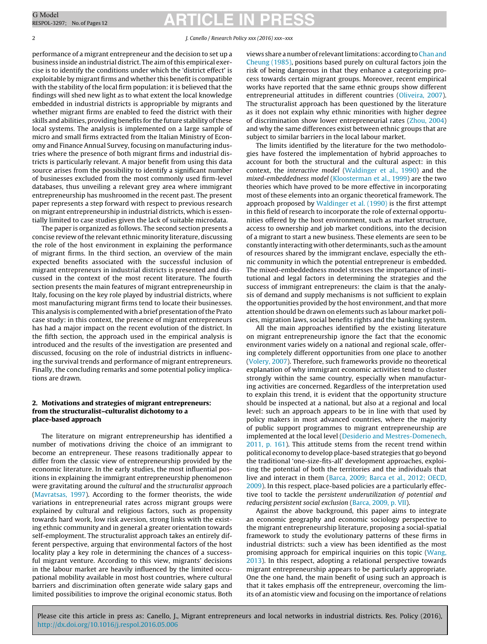performance of a migrant entrepreneur and the decision to set up a business inside an industrial district. The aim of this empirical exercise is to identify the conditions under which the 'district effect' is exploitable by migrant firms and whether this benefit is compatible with the stability of the local firm population: it is believed that the findings will shed new light as to what extent the local knowledge embedded in industrial districts is appropriable by migrants and whether migrant firms are enabled to feed the district with their skills and abilities, providing benefits for the future stability of these local systems. The analysis is implemented on a large sample of micro and small firms extracted from the Italian Ministry of Economy and Finance Annual Survey, focusing on manufacturing industries where the presence of both migrant firms and industrial districts is particularly relevant. A major benefit from using this data source arises from the possibility to identify a significant number of businesses excluded from the most commonly used firm-level databases, thus unveiling a relevant grey area where immigrant entrepreneurship has mushroomed in the recent past. The present paper represents a step forward with respect to previous research on migrant entrepreneurship in industrial districts, which is essentially limited to case studies given the lack of suitable microdata.

The paper is organized as follows. The second section presents a concise review of the relevant ethnic minority literature, discussing the role of the host environment in explaining the performance of migrant firms. In the third section, an overview of the main expected benefits associated with the successful inclusion of migrant entrepreneurs in industrial districts is presented and discussed in the context of the most recent literature. The fourth section presents the main features of migrant entrepreneurship in Italy, focusing on the key role played by industrial districts, where most manufacturing migrant firms tend to locate their businesses. This analysis is complemented with a brief presentation ofthe Prato case study: in this context, the presence of migrant entrepreneurs has had a major impact on the recent evolution of the district. In the fifth section, the approach used in the empirical analysis is introduced and the results of the investigation are presented and discussed, focusing on the role of industrial districts in influencing the survival trends and performance of migrant entrepreneurs. Finally, the concluding remarks and some potential policy implications are drawn.

### **2. Motivations and strategies of migrant entrepreneurs: from the structuralist–culturalist dichotomy to a place-based approach**

The literature on migrant entrepreneurship has identified a number of motivations driving the choice of an immigrant to become an entrepreneur. These reasons traditionally appear to differ from the classic view of entrepreneurship provided by the economic literature. In the early studies, the most influential positions in explaining the immigrant entrepreneurship phenomenon were gravitating around the cultural and the structuralist approach ([Mavratsas,](#page-11-0) [1997\).](#page-11-0) According to the former theorists, the wide variations in entrepreneurial rates across migrant groups were explained by cultural and religious factors, such as propensity towards hard work, low risk aversion, strong links with the existing ethnic community and in general a greater orientation towards self-employment. The structuralist approach takes an entirely different perspective, arguing that environmental factors of the host locality play a key role in determining the chances of a successful migrant venture. According to this view, migrants' decisions in the labour market are heavily influenced by the limited occupational mobility available in most host countries, where cultural barriers and discrimination often generate wide salary gaps and limited possibilities to improve the original economic status. Both

views share a number of relevant limitations: according to Chan and [Cheung](#page-11-0) [\(1985\),](#page-11-0) positions based purely on cultural factors join the risk of being dangerous in that they enhance a categorizing process towards certain migrant groups. Moreover, recent empirical works have reported that the same ethnic groups show different entrepreneurial attitudes in different countries [\(Oliveira,](#page-11-0) [2007\).](#page-11-0) The structuralist approach has been questioned by the literature as it does not explain why ethnic minorities with higher degree of discrimination show lower entrepreneurial rates ([Zhou,](#page-11-0) [2004\)](#page-11-0) and why the same differences exist between ethnic groups that are subject to similar barriers in the local labour market.

The limits identified by the literature for the two methodologies have fostered the implementation of hybrid approaches to account for both the structural and the cultural aspect: in this context, the interactive model [\(Waldinger](#page-11-0) et [al.,](#page-11-0) [1990\)](#page-11-0) and the mixed-embeddedness model [\(Kloosterman](#page-11-0) et [al.,](#page-11-0) [1999\)](#page-11-0) are the two theories which have proved to be more effective in incorporating most of these elements into an organic theoretical framework. The approach proposed by [Waldinger](#page-11-0) et [al.](#page-11-0) [\(1990\)](#page-11-0) is the first attempt in this field of research to incorporate the role of external opportunities offered by the host environment, such as market structure, access to ownership and job market conditions, into the decision of a migrant to start a new business. These elements are seen to be constantly interacting with other determinants, such as the amount of resources shared by the immigrant enclave, especially the ethnic community in which the potential entrepreneur is embedded. The mixed-embeddedness model stresses the importance of institutional and legal factors in determining the strategies and the success of immigrant entrepreneurs: the claim is that the analysis of demand and supply mechanisms is not sufficient to explain the opportunities provided by the host environment, and that more attention should be drawn on elements such as labour market policies, migration laws, social benefits rights and the banking system.

All the main approaches identified by the existing literature on migrant entrepreneurship ignore the fact that the economic environment varies widely on a national and regional scale, offering completely different opportunities from one place to another [\(Volery,](#page-11-0) [2007\).](#page-11-0) Therefore, such frameworks provide no theoretical explanation of why immigrant economic activities tend to cluster strongly within the same country, especially when manufacturing activities are concerned. Regardless of the interpretation used to explain this trend, it is evident that the opportunity structure should be inspected at a national, but also at a regional and local level: such an approach appears to be in line with that used by policy makers in most advanced countries, where the majority of public support programmes to migrant entrepreneurship are implemented at the local level ([Desiderio](#page-11-0) [and](#page-11-0) [Mestres-Domenech,](#page-11-0) [2011,](#page-11-0) [p.](#page-11-0) [161\).](#page-11-0) This attitude stems from the recent trend within political economy to develop place-based strategies that go beyond the traditional 'one-size-fits-all' development approaches, exploiting the potential of both the territories and the individuals that live and interact in them [\(Barca,](#page-10-0) [2009;](#page-10-0) [Barca](#page-10-0) et [al.,](#page-10-0) [2012;](#page-10-0) [OECD,](#page-10-0) [2009\).](#page-10-0) In this respect, place-based policies are a particularly effective tool to tackle the persistent underutilization of potential and reducing persistent social exclusion ([Barca,](#page-10-0) [2009,](#page-10-0) [p.](#page-10-0) [VII\).](#page-10-0)

Against the above background, this paper aims to integrate an economic geography and economic sociology perspective to the migrant entrepreneurship literature, proposing a social-spatial framework to study the evolutionary patterns of these firms in industrial districts: such a view has been identified as the most promising approach for empirical inquiries on this topic ([Wang,](#page-11-0) [2013\).](#page-11-0) In this respect, adopting a relational perspective towards migrant entrepreneurship appears to be particularly appropriate. One the one hand, the main benefit of using such an approach is that it takes emphasis off the entrepreneur, overcoming the limits of an atomistic view and focusing on the importance of relations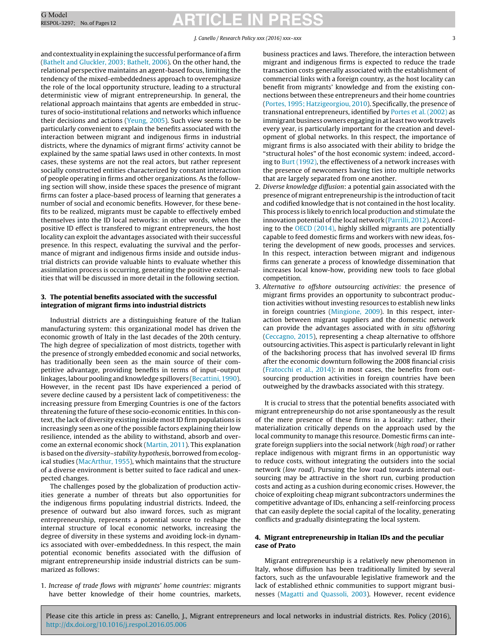#### J. Canello / Research Policy xxx (2016) xxx–xxx 3

<span id="page-2-0"></span>and contextuality in explaining the successful performance of a firm ([Bathelt](#page-10-0) [and](#page-10-0) [Gluckler,](#page-10-0) [2003;](#page-10-0) [Bathelt,](#page-10-0) [2006\).](#page-10-0) On the other hand, the relational perspective maintains an agent-based focus, limiting the tendency of the mixed-embeddedness approach to overemphasize the role of the local opportunity structure, leading to a structural deterministic view of migrant entrepreneurship. In general, the relational approach maintains that agents are embedded in structures of socio-institutional relations and networks which influence their decisions and actions [\(Yeung,](#page-11-0) [2005\).](#page-11-0) Such view seems to be particularly convenient to explain the benefits associated with the interaction between migrant and indigenous firms in industrial districts, where the dynamics of migrant firms' activity cannot be explained by the same spatial laws used in other contexts. In most cases, these systems are not the real actors, but rather represent socially constructed entities characterized by constant interaction of people operating in firms and other organizations. As the following section will show, inside these spaces the presence of migrant firms can foster a place-based process of learning that generates a number of social and economic benefits. However, for these benefits to be realized, migrants must be capable to effectively embed themselves into the ID local networks: in other words, when the positive ID effect is transfered to migrant entrepreneurs, the host locality can exploit the advantages associated with their successful presence. In this respect, evaluating the survival and the performance of migrant and indigenous firms inside and outside industrial districts can provide valuable hints to evaluate whether this assimilation process is occurring, generating the positive externalities that will be discussed in more detail in the following section.

#### **3. The potential benefits associated with the successful integration of migrant firms into industrial districts**

Industrial districts are a distinguishing feature of the Italian manufacturing system: this organizational model has driven the economic growth of Italy in the last decades of the 20th century. The high degree of specialization of most districts, together with the presence of strongly embedded economic and social networks, has traditionally been seen as the main source of their competitive advantage, providing benefits in terms of input–output linkages, labour pooling and knowledge spillovers [\(Becattini,](#page-11-0) [1990\).](#page-11-0) However, in the recent past IDs have experienced a period of severe decline caused by a persistent lack of competitiveness: the increasing pressure from Emerging Countries is one of the factors threatening the future of these socio-economic entities. In this context, the lack of diversity existing inside most ID firm populations is increasingly seen as one of the possible factors explaining their low resilience, intended as the ability to withstand, absorb and overcome an external economic shock [\(Martin,](#page-11-0) [2011\).](#page-11-0) This explanation is based on the diversity–stability hypothesis, borrowed from ecological studies [\(MacArthur,](#page-11-0) [1955\),](#page-11-0) which maintains that the structure of a diverse environment is better suited to face radical and unexpected changes.

The challenges posed by the globalization of production activities generate a number of threats but also opportunities for the indigenous firms populating industrial districts. Indeed, the presence of outward but also inward forces, such as migrant entrepreneurship, represents a potential source to reshape the internal structure of local economic networks, increasing the degree of diversity in these systems and avoiding lock-in dynamics associated with over-embeddedness. In this respect, the main potential economic benefits associated with the diffusion of migrant entrepreneurship inside industrial districts can be summarized as follows:

1. Increase of trade flows with migrants' home countries: migrants have better knowledge of their home countries, markets, business practices and laws. Therefore, the interaction between migrant and indigenous firms is expected to reduce the trade transaction costs generally associated with the establishment of commercial links with a foreign country, as the host locality can benefit from migrants' knowledge and from the existing connections between these entrepreneurs and their home countries [\(Portes,](#page-11-0) [1995;](#page-11-0) [Hatzigeorgiou,](#page-11-0) [2010\).](#page-11-0) Specifically, the presence of transnational entrepreneurs, identified by [Portes](#page-11-0) et [al.](#page-11-0) [\(2002\)](#page-11-0) as immigrant business owners engaging in at least two work travels every year, is particularly important for the creation and development of global networks. In this respect, the importance of migrant firms is also associated with their ability to bridge the "structural holes" of the host economic system: indeed, according to [Burt](#page-11-0) [\(1992\),](#page-11-0) the effectiveness of a network increases with the presence of newcomers having ties into multiple networks that are largely separated from one another.

- 2. Diverse knowledge diffusion: a potential gain associated with the presence of migrant entrepreneurship is the introduction oftacit and codified knowledge that is not contained in the host locality. This process is likely to enrich local production and stimulate the innovation potential of the local network [\(Parrilli,](#page-11-0) [2012\).](#page-11-0) According to the [OECD](#page-11-0) [\(2014\),](#page-11-0) highly skilled migrants are potentially capable to feed domestic firms and workers with new ideas, fostering the development of new goods, processes and services. In this respect, interaction between migrant and indigenous firms can generate a process of knowledge dissemination that increases local know-how, providing new tools to face global competition.
- 3. Alternative to offshore outsourcing activities: the presence of migrant firms provides an opportunity to subcontract production activities without investing resources to establish new links in foreign countries ([Mingione,](#page-11-0) [2009\).](#page-11-0) In this respect, interaction between migrant suppliers and the domestic network can provide the advantages associated with in situ offshoring [\(Ceccagno,](#page-11-0) [2015\),](#page-11-0) representing a cheap alternative to offshore outsourcing activities. This aspect is particularly relevant in light of the backshoring process that has involved several ID firms after the economic downturn following the 2008 financial crisis [\(Fratocchi](#page-11-0) et [al.,](#page-11-0) [2014\):](#page-11-0) in most cases, the benefits from outsourcing production activities in foreign countries have been outweighed by the drawbacks associated with this strategy.

It is crucial to stress that the potential benefits associated with migrant entrepreneurship do not arise spontaneously as the result of the mere presence of these firms in a locality: rather, their materialization critically depends on the approach used by the local community to manage this resource. Domestic firms can integrate foreign suppliers into the social network (high road) or rather replace indigenous with migrant firms in an opportunistic way to reduce costs, without integrating the outsiders into the social network (low road). Pursuing the low road towards internal outsourcing may be attractive in the short run, curbing production costs and acting as a cushion during economic crises. However, the choice of exploiting cheap migrant subcontractors undermines the competitive advantage of IDs, enhancing a self-reinforcing process that can easily deplete the social capital of the locality, generating conflicts and gradually disintegrating the local system.

#### **4. Migrant entrepreneurship in Italian IDs and the peculiar case of Prato**

Migrant entrepreneurship is a relatively new phenomenon in Italy, whose diffusion has been traditionally limited by several factors, such as the unfavourable legislative framework and the lack of established ethnic communities to support migrant businesses ([Magatti](#page-11-0) [and](#page-11-0) [Quassoli,](#page-11-0) [2003\).](#page-11-0) However, recent evidence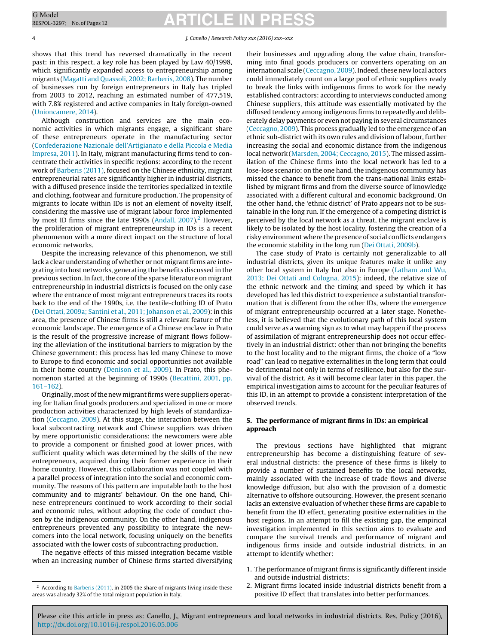shows that this trend has reversed dramatically in the recent past: in this respect, a key role has been played by Law 40/1998, which significantly expanded access to entrepreneurship among migrants ([Magatti](#page-11-0) [and](#page-11-0) [Quassoli,](#page-11-0) [2002;](#page-11-0) [Barberis,](#page-11-0) [2008\).](#page-11-0) The number of businesses run by foreign entrepreneurs in Italy has tripled from 2003 to 2012, reaching an estimated number of 477,519, with 7.8% registered and active companies in Italy foreign-owned ([Unioncamere,](#page-11-0) [2014\).](#page-11-0)

Although construction and services are the main economic activities in which migrants engage, a significant share of these entrepreneurs operate in the manufacturing sector ([Confederazione](#page-11-0) [Nazionale](#page-11-0) [dell'Artigianato](#page-11-0) [e](#page-11-0) [della](#page-11-0) [Piccola](#page-11-0) [e](#page-11-0) [Media](#page-11-0) [Impresa,](#page-11-0) [2011\).](#page-11-0) In Italy, migrant manufacturing firms tend to concentrate their activities in specific regions: according to the recent work of [Barberis](#page-10-0) [\(2011\),](#page-10-0) focused on the Chinese ethnicity, migrant entrepreneurial rates are significantly higher in industrial districts, with a diffused presence inside the territories specialized in textile and clothing, footwear and furniture production. The propensity of migrants to locate within IDs is not an element of novelty itself, considering the massive use of migrant labour force implemented by most ID firms since the late 1990s ([Andall,](#page-10-0) 2007).<sup>2</sup> However, the proliferation of migrant entrepreneurship in IDs is a recent phenomenon with a more direct impact on the structure of local economic networks.

Despite the increasing relevance of this phenomenon, we still lack a clear understanding of whether or not migrant firms are integrating into host networks, generating the benefits discussed in the previous section. In fact, the core of the sparse literature on migrant entrepreneurship in industrial districts is focused on the only case where the entrance of most migrant entrepreneurs traces its roots back to the end of the 1990s, i.e. the textile-clothing ID of Prato ([Dei](#page-11-0) [Ottati,](#page-11-0) [2009a;](#page-11-0) [Santini](#page-11-0) et [al.,](#page-11-0) [2011;](#page-11-0) [Johanson](#page-11-0) et [al.,](#page-11-0) [2009\):](#page-11-0) in this area, the presence of Chinese firms is still a relevant feature of the economic landscape. The emergence of a Chinese enclave in Prato is the result of the progressive increase of migrant flows following the alleviation of the institutional barriers to migration by the Chinese government: this process has led many Chinese to move to Europe to find economic and social opportunities not available in their home country [\(Denison](#page-11-0) et [al.,](#page-11-0) [2009\).](#page-11-0) In Prato, this phenomenon started at the beginning of 1990s ([Becattini,](#page-11-0) [2001,](#page-11-0) [pp.](#page-11-0) [161–162\).](#page-11-0)

Originally, most of the new migrant firms were suppliers operating for Italian final goods producers and specialized in one or more production activities characterized by high levels of standardization [\(Ceccagno,](#page-11-0) [2009\).](#page-11-0) At this stage, the interaction between the local subcontracting network and Chinese suppliers was driven by mere opportunistic considerations: the newcomers were able to provide a component or finished good at lower prices, with sufficient quality which was determined by the skills of the new entrepreneurs, acquired during their former experience in their home country. However, this collaboration was not coupled with a parallel process of integration into the social and economic community. The reasons of this pattern are imputable both to the host community and to migrants' behaviour. On the one hand, Chinese entrepreneurs continued to work according to their social and economic rules, without adopting the code of conduct chosen by the indigenous community. On the other hand, indigenous entrepreneurs prevented any possibility to integrate the newcomers into the local network, focusing uniquely on the benefits associated with the lower costs of subcontracting production.

The negative effects of this missed integration became visible when an increasing number of Chinese firms started diversifying their businesses and upgrading along the value chain, transforming into final goods producers or converters operating on an international scale ([Ceccagno,](#page-11-0) [2009\).](#page-11-0) Indeed, these new local actors could immediately count on a large pool of ethnic suppliers ready to break the links with indigenous firms to work for the newly established contractors: according to interviews conducted among Chinese suppliers, this attitude was essentially motivated by the diffused tendency among indigenous firms to repeatedly and deliberately delay payments or even not paying in several circumstances [\(Ceccagno,](#page-11-0) [2009\).](#page-11-0) This process gradually led to the emergence of an ethnic sub-district with its own rules and division of labour, further increasing the social and economic distance from the indigenous local network ([Marsden,](#page-11-0) [2004;](#page-11-0) [Ceccagno,](#page-11-0) [2015\).](#page-11-0) The missed assimilation of the Chinese firms into the local network has led to a lose-lose scenario: on the one hand, the indigenous community has missed the chance to benefit from the trans-national links established by migrant firms and from the diverse source of knowledge associated with a different cultural and economic background. On the other hand, the 'ethnic district' of Prato appears not to be sustainable in the long run. If the emergence of a competing district is perceived by the local network as a threat, the migrant enclave is likely to be isolated by the host locality, fostering the creation of a risky environment where the presence of social conflicts endangers the economic stability in the long run [\(Dei](#page-11-0) [Ottati,](#page-11-0) [2009b\).](#page-11-0)

The case study of Prato is certainly not generalizable to all industrial districts, given its unique features make it unlike any other local system in Italy but also in Europe ([Latham](#page-11-0) [and](#page-11-0) [Wu,](#page-11-0) [2013;](#page-11-0) [Dei](#page-11-0) [Ottati](#page-11-0) [and](#page-11-0) [Cologna,](#page-11-0) [2015\):](#page-11-0) indeed, the relative size of the ethnic network and the timing and speed by which it has developed has led this district to experience a substantial transformation that is different from the other IDs, where the emergence of migrant entrepreneurship occurred at a later stage. Nonetheless, it is believed that the evolutionary path of this local system could serve as a warning sign as to what may happen if the process of assimilation of migrant entrepreneurship does not occur effectively in an industrial district: other than not bringing the benefits to the host locality and to the migrant firms, the choice of a "low road" can lead to negative externalities in the long term that could be detrimental not only in terms of resilience, but also for the survival of the district. As it will become clear later in this paper, the empirical investigation aims to account for the peculiar features of this ID, in an attempt to provide a consistent interpretation of the observed trends.

### **5. The performance of migrant firms in IDs: an empirical approach**

The previous sections have highlighted that migrant entrepreneurship has become a distinguishing feature of several industrial districts: the presence of these firms is likely to provide a number of sustained benefits to the local networks, mainly associated with the increase of trade flows and diverse knowledge diffusion, but also with the provision of a domestic alternative to offshore outsourcing. However, the present scenario lacks an extensive evaluation of whether these firms are capable to benefit from the ID effect, generating positive externalities in the host regions. In an attempt to fill the existing gap, the empirical investigation implemented in this section aims to evaluate and compare the survival trends and performance of migrant and indigenous firms inside and outside industrial districts, in an attempt to identify whether:

- 1. The performance of migrant firms is significantly different inside and outside industrial districts;
- 2. Migrant firms located inside industrial districts benefit from a positive ID effect that translates into better performances.

<sup>&</sup>lt;sup>2</sup> According to [Barberis](#page-10-0) [\(2011\),](#page-10-0) in 2005 the share of migrants living inside these areas was already 32% of the total migrant population in Italy.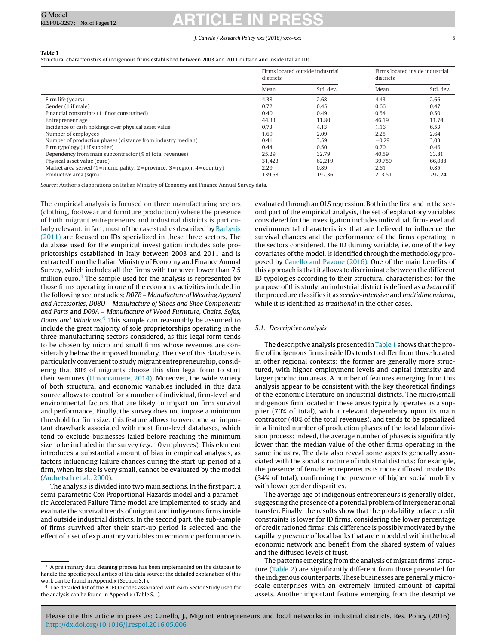#### J. Canello / Research Policy xxx (2016) xxx–xxx 5

#### **Table 1**

Structural characteristics of indigenous firms established between 2003 and 2011 outside and inside Italian IDs.

|                                                                              | Firms located outside industrial<br>districts |           | Firms located inside industrial<br>districts |           |
|------------------------------------------------------------------------------|-----------------------------------------------|-----------|----------------------------------------------|-----------|
|                                                                              | Mean                                          | Std. dev. | Mean                                         | Std. dev. |
| Firm life (years)                                                            | 4.38                                          | 2.68      | 4.43                                         | 2.66      |
| Gender (1 if male)                                                           | 0.72                                          | 0.45      | 0.66                                         | 0.47      |
| Financial constraints (1 if not constrained)                                 | 0.40                                          | 0.49      | 0.54                                         | 0.50      |
| Entrepreneur age                                                             | 44.33                                         | 11.80     | 46.19                                        | 11.74     |
| Incidence of cash holdings over physical asset value                         | 0.73                                          | 4.13      | 1.16                                         | 6.53      |
| Number of employees                                                          | 1.69                                          | 2.09      | 2.25                                         | 2.64      |
| Number of production phases (distance from industry median)                  | 0.41                                          | 3.59      | $-0.29$                                      | 3.03      |
| Firm typology (1 if supplier)                                                | 0.44                                          | 0.50      | 0.70                                         | 0.46      |
| Dependency from main subcontractor (% of total revenues)                     | 25.29                                         | 32.79     | 40.59                                        | 33.81     |
| Physical asset value (euro)                                                  | 31.423                                        | 62.219    | 39.759                                       | 66,088    |
| Market area served (1 = municipality; 2 = province; 3 = region; 4 = country) | 2.29                                          | 0.89      | 2.61                                         | 0.85      |
| Productive area (sqm)                                                        | 139.58                                        | 192.36    | 213.51                                       | 297.24    |

Source: Author's elaborations on Italian Ministry of Economy and Finance Annual Survey data.

The empirical analysis is focused on three manufacturing sectors (clothing, footwear and furniture production) where the presence of both migrant entrepreneurs and industrial districts is particu-larly relevant: in fact, most of the case studies described by [Barberis](#page-10-0) [\(2011\)](#page-10-0) are focused on IDs specialized in these three sectors. The database used for the empirical investigation includes sole proprietorships established in Italy between 2003 and 2011 and is extracted from the Italian Ministry of Economy and Finance Annual Survey, which includes all the firms with turnover lower than 7.5 million euro.<sup>3</sup> The sample used for the analysis is represented by those firms operating in one of the economic activities included in the following sector studies: D07B – Manufacture of Wearing Apparel and Accessories, D08U – Manufacture of Shoes and Shoe Components and Parts and D09A – Manufacture of Wood Furniture, Chairs, Sofas, Doors and Windows.<sup>4</sup> This sample can reasonably be assumed to include the great majority of sole proprietorships operating in the three manufacturing sectors considered, as this legal form tends to be chosen by micro and small firms whose revenues are considerably below the imposed boundary. The use of this database is particularly convenient to study migrant entrepreneurship, considering that 80% of migrants choose this slim legal form to start their ventures ([Unioncamere,](#page-11-0) [2014\).](#page-11-0) Moreover, the wide variety of both structural and economic variables included in this data source allows to control for a number of individual, firm-level and environmental factors that are likely to impact on firm survival and performance. Finally, the survey does not impose a minimum threshold for firm size: this feature allows to overcome an important drawback associated with most firm-level databases, which tend to exclude businesses failed before reaching the minimum size to be included in the survey (e.g. 10 employees). This element introduces a substantial amount of bias in empirical analyses, as factors influencing failure chances during the start-up period of a firm, when its size is very small, cannot be evaluated by the model ([Audretsch](#page-10-0) et [al.,](#page-10-0) [2000\).](#page-10-0)

The analysis is divided into two main sections. In the first part, a semi-parametric Cox Proportional Hazards model and a parametric Accelerated Failure Time model are implemented to study and evaluate the survival trends of migrant and indigenous firms inside and outside industrial districts. In the second part, the sub-sample of firms survived after their start-up period is selected and the effect of a set of explanatory variables on economic performance is evaluated through an OLS regression. Both in the first and in the second part of the empirical analysis, the set of explanatory variables considered for the investigation includes individual, firm-level and environmental characteristics that are believed to influence the survival chances and the performance of the firms operating in the sectors considered. The ID dummy variable, i.e. one of the key covariates ofthe model, is identified through the methodology proposed by [Canello](#page-11-0) [and](#page-11-0) [Pavone](#page-11-0) [\(2016\).](#page-11-0) One of the main benefits of this approach is that it allows to discriminate between the different ID typologies according to their structural characteristics: for the purpose of this study, an industrial district is defined as advanced if the procedure classifies it as service-intensive and multidimensional, while it is identified as traditional in the other cases.

#### 5.1. Descriptive analysis

The descriptive analysis presented in Table 1 shows that the profile of indigenous firms inside IDs tends to differ from those located in other regional contexts: the former are generally more structured, with higher employment levels and capital intensity and larger production areas. A number of features emerging from this analysis appear to be consistent with the key theoretical findings of the economic literature on industrial districts. The micro/small indigenous firm located in these areas typically operates as a supplier (70% of total), with a relevant dependency upon its main contractor (40% of the total revenues), and tends to be specialized in a limited number of production phases of the local labour division process: indeed, the average number of phases is significantly lower than the median value of the other firms operating in the same industry. The data also reveal some aspects generally associated with the social structure of industrial districts: for example, the presence of female entrepreneurs is more diffused inside IDs (34% of total), confirming the presence of higher social mobility with lower gender disparities.

The average age of indigenous entrepreneurs is generally older, suggesting the presence of a potential problem of intergenerational transfer. Finally, the results show that the probability to face credit constraints is lower for ID firms, considering the lower percentage of credit rationed firms: this difference is possibly motivated by the capillary presence oflocal banks that are embedded within the local economic network and benefit from the shared system of values and the diffused levels of trust.

The patterns emerging from the analysis of migrant firms' structure ([Table](#page-5-0) 2) are significantly different from those presented for the indigenous counterparts. These businesses are generally microscale enterprises with an extremely limited amount of capital assets. Another important feature emerging from the descriptive

<sup>3</sup> A preliminary data cleaning process has been implemented on the database to handle the specific peculiarities of this data source: the detailed explanation of this work can be found in Appendix (Section S.1).

<sup>&</sup>lt;sup>4</sup> The detailed list of the ATECO codes associated with each Sector Study used for the analysis can be found in Appendix (Table S.1).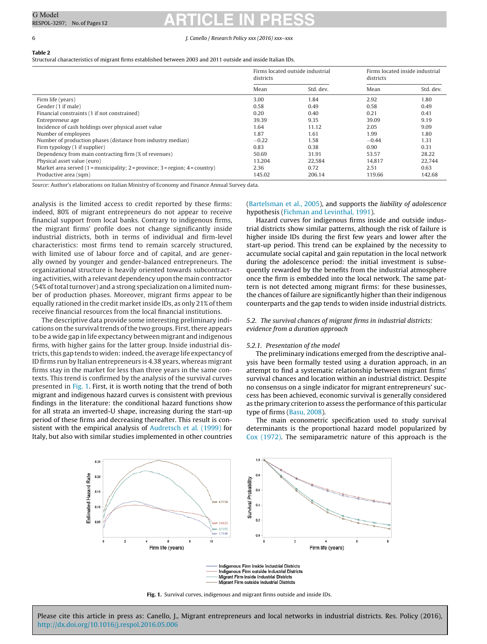#### <span id="page-5-0"></span>6 J. Canello / Research Policy xxx (2016) xxx–xxx

**Table 2**

Structural characteristics of migrant firms established between 2003 and 2011 outside and inside Italian IDs.

|                                                                                | Firms located outside industrial<br>districts |           | Firms located inside industrial<br>districts |           |
|--------------------------------------------------------------------------------|-----------------------------------------------|-----------|----------------------------------------------|-----------|
|                                                                                | Mean                                          | Std. dev. | Mean                                         | Std. dev. |
| Firm life (years)                                                              | 3.00                                          | 1.84      | 2.92                                         | 1.80      |
| Gender (1 if male)                                                             | 0.58                                          | 0.49      | 0.58                                         | 0.49      |
| Financial constraints (1 if not constrained)                                   | 0.20                                          | 0.40      | 0.21                                         | 0.41      |
| Entrepreneur age                                                               | 39.39                                         | 9.35      | 39.09                                        | 9.19      |
| Incidence of cash holdings over physical asset value                           | 1.64                                          | 11.12     | 2.05                                         | 9.09      |
| Number of employees                                                            | 1.87                                          | 1.61      | 1.99                                         | 1.80      |
| Number of production phases (distance from industry median)                    | $-0.22$                                       | 1.58      | $-0.44$                                      | 1.31      |
| Firm typology (1 if supplier)                                                  | 0.83                                          | 0.38      | 0.90                                         | 0.31      |
| Dependency from main contracting firm (% of revenues)                          | 50.69                                         | 31.91     | 53.57                                        | 28.22     |
| Physical asset value (euro)                                                    | 13.204                                        | 22.584    | 14.817                                       | 22.744    |
| Market area served (1 = municipality; 2 = province; 3 = region; $4 =$ country) | 2.36                                          | 0.72      | 2.51                                         | 0.63      |
| Productive area (sqm)                                                          | 145.02                                        | 206.14    | 119.66                                       | 142.68    |

Source: Author's elaborations on Italian Ministry of Economy and Finance Annual Survey data.

analysis is the limited access to credit reported by these firms: indeed, 80% of migrant entrepreneurs do not appear to receive financial support from local banks. Contrary to indigenous firms, the migrant firms' profile does not change significantly inside industrial districts, both in terms of individual and firm-level characteristics: most firms tend to remain scarcely structured, with limited use of labour force and of capital, and are generally owned by younger and gender-balanced entrepreneurs. The organizational structure is heavily oriented towards subcontracting activities, with a relevant dependency upon the main contractor (54% of total turnover) and a strong specialization on a limited number of production phases. Moreover, migrant firms appear to be equally rationed in the credit market inside IDs, as only 21% of them receive financial resources from the local financial institutions.

The descriptive data provide some interesting preliminary indications on the survival trends of the two groups. First, there appears to be a wide gap in life expectancy between migrant and indigenous firms, with higher gains for the latter group. Inside industrial districts, this gap tends to widen: indeed, the average life expectancy of ID firms run by Italian entrepreneurs is 4.38 years, whereas migrant firms stay in the market for less than three years in the same contexts. This trend is confirmed by the analysis of the survival curves presented in Fig. 1. First, it is worth noting that the trend of both migrant and indigenous hazard curves is consistent with previous findings in the literature: the conditional hazard functions show for all strata an inverted-U shape, increasing during the start-up period of these firms and decreasing thereafter. This result is consistent with the empirical analysis of [Audretsch](#page-10-0) et [al.](#page-10-0) [\(1999\)](#page-10-0) for Italy, but also with similar studies implemented in other countries

[\(Bartelsman](#page-10-0) et [al.,](#page-10-0) [2005\),](#page-10-0) and supports the liability of adolescence hypothesis [\(Fichman](#page-11-0) [and](#page-11-0) [Levinthal,](#page-11-0) [1991\).](#page-11-0)

Hazard curves for indigenous firms inside and outside industrial districts show similar patterns, although the risk of failure is higher inside IDs during the first few years and lower after the start-up period. This trend can be explained by the necessity to accumulate social capital and gain reputation in the local network during the adolescence period: the initial investment is subsequently rewarded by the benefits from the industrial atmosphere once the firm is embedded into the local network. The same pattern is not detected among migrant firms: for these businesses, the chances of failure are significantly higher than their indigenous counterparts and the gap tends to widen inside industrial districts.

#### 5.2. The survival chances of migrant firms in industrial districts: evidence from a duration approach

#### 5.2.1. Presentation of the model

The preliminary indications emerged from the descriptive analysis have been formally tested using a duration approach, in an attempt to find a systematic relationship between migrant firms' survival chances and location within an industrial district. Despite no consensus on a single indicator for migrant entrepreneurs' success has been achieved, economic survival is generally considered as the primary criterion to assess the performance of this particular type of firms [\(Basu,](#page-10-0) [2008\).](#page-10-0)

The main econometric specification used to study survival determinants is the proportional hazard model popularized by [Cox](#page-11-0) [\(1972\).](#page-11-0) The semiparametric nature of this approach is the



**Fig. 1.** Survival curves, indigenous and migrant firms outside and inside IDs.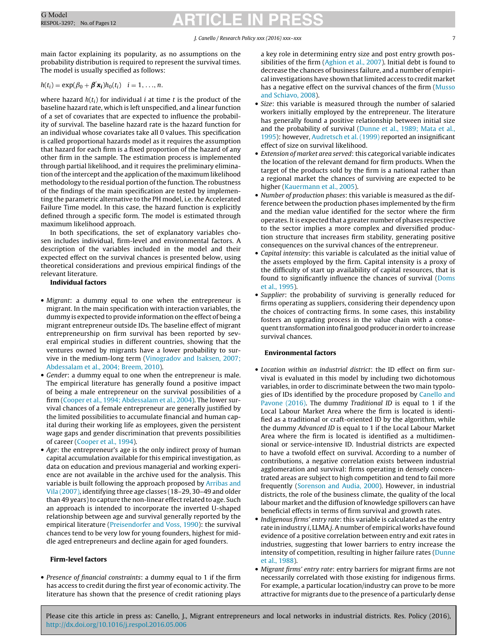main factor explaining its popularity, as no assumptions on the probability distribution is required to represent the survival times. The model is usually specified as follows:

$$
h(t_i) = \exp(\beta_0 + \beta' \mathbf{x_i}) h_0(t_i) \quad i = 1, \ldots, n.
$$

where hazard  $h(t_i)$  for individual *i* at time *t* is the product of the baseline hazard rate, which is left unspecified, and a linear function of a set of covariates that are expected to influence the probability of survival. The baseline hazard rate is the hazard function for an individual whose covariates take all 0 values. This specification is called proportional hazards model as it requires the assumption that hazard for each firm is a fixed proportion of the hazard of any other firm in the sample. The estimation process is implemented through partial likelihood, and it requires the preliminary elimination of the intercept and the application of the maximum likelihood methodology to the residual portion of the function. The robustness of the findings of the main specification are tested by implementing the parametric alternative to the PH model, i.e. the Accelerated Failure Time model. In this case, the hazard function is explicitly defined through a specific form. The model is estimated through maximum likelihood approach.

In both specifications, the set of explanatory variables chosen includes individual, firm-level and environmental factors. A description of the variables included in the model and their expected effect on the survival chances is presented below, using theoretical considerations and previous empirical findings of the relevant literature.

#### **Individual factors**

- Migrant: a dummy equal to one when the entrepreneur is migrant. In the main specification with interaction variables, the dummy is expected to provide information on the effect of being a migrant entrepreneur outside IDs. The baseline effect of migrant entrepreneurship on firm survival has been reported by several empirical studies in different countries, showing that the ventures owned by migrants have a lower probability to survive in the medium-long term ([Vinogradov](#page-11-0) [and](#page-11-0) [Isaksen,](#page-11-0) [2007;](#page-11-0) [Abdessalam](#page-11-0) et [al.,](#page-11-0) [2004;](#page-11-0) [Breem,](#page-11-0) [2010\).](#page-11-0)
- Gender: a dummy equal to one when the entrepreneur is male. The empirical literature has generally found a positive impact of being a male entrepreneur on the survival possibilities of a firm ([Cooper](#page-11-0) et [al.,](#page-11-0) [1994;](#page-11-0) [Abdessalam](#page-11-0) et [al.,](#page-11-0) [2004\).](#page-11-0) The lower survival chances of a female entrepreneur are generally justified by the limited possibilities to accumulate financial and human capital during their working life as employees, given the persistent wage gaps and gender discrimination that prevents possibilities of career [\(Cooper](#page-11-0) et [al.,](#page-11-0) [1994\).](#page-11-0)
- Age: the entrepreneur's age is the only indirect proxy of human capital accumulation available for this empirical investigation, as data on education and previous managerial and working experience are not available in the archive used for the analysis. This variable is built following the approach proposed by [Arribas](#page-10-0) [and](#page-10-0) [Vila](#page-10-0) [\(2007\),](#page-10-0) identifying three age classes (18–29, 30–49 and older than 49 years) to capture the non-linear effect related to age. Such an approach is intended to incorporate the inverted U-shaped relationship between age and survival generally reported by the empirical literature ([Preisendorfer](#page-11-0) [and](#page-11-0) [Voss,](#page-11-0) [1990\):](#page-11-0) the survival chances tend to be very low for young founders, highest for middle aged entrepreneurs and decline again for aged founders.

#### **Firm-level factors**

• Presence of financial constraints: a dummy equal to 1 if the firm has access to credit during the first year of economic activity. The literature has shown that the presence of credit rationing plays a key role in determining entry size and post entry growth possibilities of the firm ([Aghion](#page-10-0) et [al.,](#page-10-0) [2007\).](#page-10-0) Initial debt is found to decrease the chances of business failure, and a number of empirical investigations have shown that limited access to credit market has a negative effect on the survival chances of the firm ([Musso](#page-11-0) [and](#page-11-0) [Schiavo,](#page-11-0) [2008\).](#page-11-0)

- Size: this variable is measured through the number of salaried workers initially employed by the entrepreneur. The literature has generally found a positive relationship between initial size and the probability of survival [\(Dunne](#page-11-0) et [al.,](#page-11-0) [1989;](#page-11-0) [Mata](#page-11-0) et [al.,](#page-11-0) [1995\):](#page-11-0) however, [Audretsch](#page-10-0) et [al.](#page-10-0) [\(1999\)](#page-10-0) reported an insignificant effect of size on survival likelihood.
- Extension of market area served: this categorical variable indicates the location of the relevant demand for firm products. When the target of the products sold by the firm is a national rather than a regional market the chances of surviving are expected to be higher [\(Kauermann](#page-11-0) et [al.,](#page-11-0) [2005\).](#page-11-0)
- Number of production phases: this variable is measured as the difference between the production phases implemented by the firm and the median value identified for the sector where the firm operates. Itis expected that a greater number of phases respective to the sector implies a more complex and diversified production structure that increases firm stability, generating positive consequences on the survival chances of the entrepreneur.
- Capital intensity: this variable is calculated as the initial value of the assets employed by the firm. Capital intensity is a proxy of the difficulty of start up availability of capital resources, that is found to significantly influence the chances of survival ([Doms](#page-11-0) et [al.,](#page-11-0) [1995\).](#page-11-0)
- Supplier: the probability of surviving is generally reduced for firms operating as suppliers, considering their dependency upon the choices of contracting firms. In some cases, this instability fosters an upgrading process in the value chain with a consequent transformation into final good producer in order to increase survival chances.

#### **Environmental factors**

- Location within an industrial district: the ID effect on firm survival is evaluated in this model by including two dichotomous variables, in order to discriminate between the two main typolo-gies of IDs identified by the procedure proposed by [Canello](#page-11-0) [and](#page-11-0) [Pavone](#page-11-0) [\(2016\).](#page-11-0) The dummy Traditional ID is equal to 1 if the Local Labour Market Area where the firm is located is identified as a traditional or craft-oriented ID by the algorithm, while the dummy Advanced ID is equal to 1 if the Local Labour Market Area where the firm is located is identified as a multidimensional or service-intensive ID. Industrial districts are expected to have a twofold effect on survival. According to a number of contributions, a negative correlation exists between industrial agglomeration and survival: firms operating in densely concentrated areas are subject to high competition and tend to fail more frequently ([Sorenson](#page-11-0) [and](#page-11-0) [Audia,](#page-11-0) [2000\).](#page-11-0) However, in industrial districts, the role of the business climate, the quality of the local labour market and the diffusion of knowledge spillovers can have beneficial effects in terms of firm survival and growth rates.
- Indigenous firms' entry rate: this variable is calculated as the entry rate in industry *i*, LLMA *j*. A number of empirical works have found evidence of a positive correlation between entry and exit rates in industries, suggesting that lower barriers to entry increase the intensity of competition, resulting in higher failure rates [\(Dunne](#page-11-0) et [al.,](#page-11-0) [1988\).](#page-11-0)
- Migrant firms' entry rate: entry barriers for migrant firms are not necessarily correlated with those existing for indigenous firms. For example, a particular location/industry can prove to be more attractive for migrants due to the presence of a particularly dense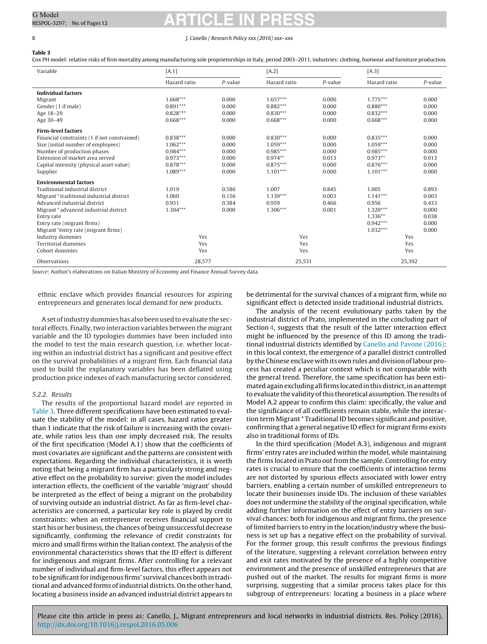#### 8 J. Canello / Research Policy xxx (2016) xxx–xxx

**Table 3**

Cox PH model: relative risks of firm mortality among manufacturing sole proprietorships in Italy, period 2003–2011, industries: clothing, footwear and furniture production.

| Variable                                     | [A.1]        |            | [A.2]        |            | [A.3]        |            |
|----------------------------------------------|--------------|------------|--------------|------------|--------------|------------|
|                                              | Hazard ratio | $P$ -value | Hazard ratio | $P$ -value | Hazard ratio | $P$ -value |
| <b>Individual factors</b>                    |              |            |              |            |              |            |
| Migrant                                      | $1.668***$   | 0.000      | $1.657***$   | 0.000      | $1.775***$   | 0.000      |
| Gender (1 if male)                           | $0.891***$   | 0.000      | $0.882***$   | 0.000      | $0.880***$   | 0.000      |
| Age 18-29                                    | $0.828***$   | 0.000      | $0.830***$   | 0.000      | $0.832***$   | 0.000      |
| Age 30-49                                    | $0.668***$   | 0.000      | $0.668***$   | 0.000      | $0.668***$   | 0.000      |
| <b>Firm-level factors</b>                    |              |            |              |            |              |            |
| Financial constraints (1 if not constrained) | $0.838***$   | 0.000      | $0.830***$   | 0.000      | $0.835***$   | 0.000      |
| Size (initial number of employees)           | $1.062***$   | 0.000      | $1.059***$   | 0.000      | $1.059***$   | 0.000      |
| Number of production phases                  | $0.984***$   | 0.000      | $0.985***$   | 0.000      | $0.985***$   | 0.000      |
| Extension of market area served              | $0.973***$   | 0.000      | $0.974**$    | 0.013      | $0.973**$    | 0.013      |
| Capital intensity (physical asset value)     | $0.878***$   | 0.000      | $0.875***$   | 0.000      | $0.876***$   | 0.000      |
| Supplier                                     | $1.089***$   | 0.000      | $1.101***$   | 0.000      | $1.101***$   | 0.000      |
| <b>Environmental factors</b>                 |              |            |              |            |              |            |
| Traditional industrial district              | 1.019        | 0.586      | 1.007        | 0.845      | 1.005        | 0.893      |
| Migrant * traditional industrial district    | 1.060        | 0.156      | $1.139***$   | 0.003      | $1.141***$   | 0.003      |
| Advanced industrial district                 | 0.951        | 0.384      | 0.959        | 0.466      | 0.956        | 0.433      |
| Migrant * advanced industrial district       | $1.304***$   | 0.000      | $1.306***$   | 0.001      | $1.320***$   | 0.000      |
| Entry rate                                   |              |            |              |            | $1.336**$    | 0.038      |
| Entry rate (migrant firms)                   |              |            |              |            | $0.942***$   | 0.000      |
| Migrant *entry rate (migrant firms)          |              |            |              |            | $1.032***$   | 0.000      |
| Industry dummies                             | Yes          |            | Yes          |            | Yes          |            |
| <b>Territorial dummies</b>                   | Yes          |            | Yes          |            | Yes          |            |
| Cohort dummies                               | Yes          |            | Yes          |            | Yes          |            |
| Observations                                 | 28,577       |            | 25,531       |            | 25,392       |            |

Source: Author's elaborations on Italian Ministry of Economy and Finance Annual Survey data.

ethnic enclave which provides financial resources for aspiring entrepreneurs and generates local demand for new products.

Aset ofindustrydummieshas also beenusedto evaluate the sectoral effects. Finally, two interaction variables between the migrant variable and the ID typologies dummies have been included into the model to test the main research question, i.e. whether locating within an industrial district has a significant and positive effect on the survival probabilities of a migrant firm. Each financial data used to build the explanatory variables has been deflated using production price indexes of each manufacturing sector considered.

#### 5.2.2. Results

The results of the proportional hazard model are reported in Table 3. Three different specifications have been estimated to evaluate the stability of the model: in all cases, hazard ratios greater than 1 indicate that the risk of failure is increasing with the covariate, while ratios less than one imply decreased risk. The results of the first specification (Model A.1) show that the coefficients of most covariates are significant and the patterns are consistent with expectations. Regarding the individual characteristics, it is worth noting that being a migrant firm has a particularly strong and negative effect on the probability to survive: given the model includes interaction effects, the coefficient of the variable 'migrant' should be interpreted as the effect of being a migrant on the probability of surviving outside an industrial district. As far as firm-level characteristics are concerned, a particular key role is played by credit constraints: when an entrepreneur receives financial support to start his or her business, the chances of being unsuccessful decrease significantly, confirming the relevance of credit constraints for micro and small firms within the Italian context. The analysis of the environmental characteristics shows that the ID effect is different for indigenous and migrant firms. After controlling for a relevant number of individual and firm-level factors, this effect appears not to be significant for indigenous firms' survival chances both in traditional and advanced forms of industrial districts. On the other hand, locating a business inside an advanced industrial district appears to

be detrimental for the survival chances of a migrant firm, while no significant effect is detected inside traditional industrial districts.

The analysis of the recent evolutionary paths taken by the industrial district of Prato, implemented in the concluding part of Section [4,](#page-2-0) suggests that the result of the latter interaction effect might be influenced by the presence of this ID among the traditional industrial districts identified by [Canello](#page-11-0) [and](#page-11-0) [Pavone](#page-11-0) [\(2016\):](#page-11-0) in this local context, the emergence of a parallel district controlled by theChinese enclave withits ownrules and divisionoflabour process has created a peculiar context which is not comparable with the general trend. Therefore, the same specification has been estimated again excluding allfirms located in this district, in an attempt to evaluate the validity of this theoretical assumption. The results of Model A.2 appear to confirm this claim: specifically, the value and the significance of all coefficients remain stable, while the interaction term Migrant \* Traditional ID becomes significant and positive, confirming that a general negative ID effect for migrant firms exists also in traditional forms of IDs.

In the third specification (Model A.3), indigenous and migrant firms' entry rates are included within the model, while maintaining the firms located in Prato out from the sample. Controlling for entry rates is crucial to ensure that the coefficients of interaction terms are not distorted by spurious effects associated with lower entry barriers, enabling a certain number of unskilled entrepreneurs to locate their businesses inside IDs. The inclusion of these variables does not undermine the stability of the original specification, while adding further information on the effect of entry barriers on survival chances: both for indigenous and migrant firms, the presence of limited barriers to entry in the location/industry where the business is set up has a negative effect on the probability of survival. For the former group, this result confirms the previous findings of the literature, suggesting a relevant correlation between entry and exit rates motivated by the presence of a highly competitive environment and the presence of unskilled entrepreneurs that are pushed out of the market. The results for migrant firms is more surprising, suggesting that a similar process takes place for this subgroup of entrepreneurs: locating a business in a place where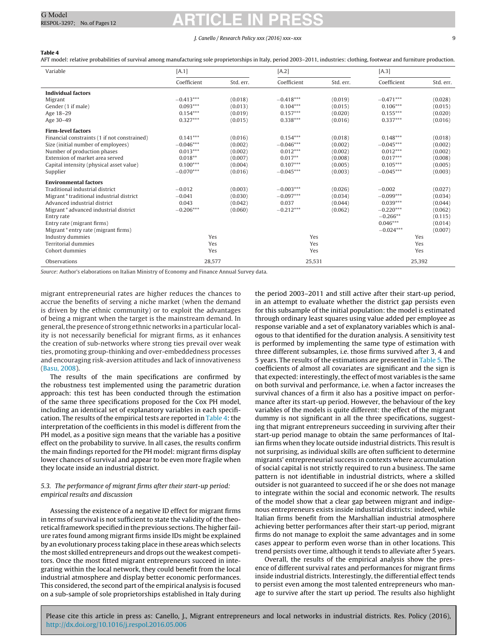#### J. Canello / Research Policy xxx (2016) xxx–xxx 9

#### **Table 4**

AFT model: relative probabilities of survival among manufacturing sole proprietorships in Italy, period 2003–2011, industries: clothing, footwear and furniture production.

| Variable                                     | [A.1]       |           | [A.2]       |           | [A.3]       |           |
|----------------------------------------------|-------------|-----------|-------------|-----------|-------------|-----------|
|                                              | Coefficient | Std. err. | Coefficient | Std. err. | Coefficient | Std. err. |
| <b>Individual factors</b>                    |             |           |             |           |             |           |
| Migrant                                      | $-0.413***$ | (0.018)   | $-0.418***$ | (0.019)   | $-0.471***$ | (0.028)   |
| Gender (1 if male)                           | $0.093***$  | (0.013)   | $0.104***$  | (0.015)   | $0.106***$  | (0.015)   |
| Age 18-29                                    | $0.154***$  | (0.019)   | $0.157***$  | (0.020)   | $0.155***$  | (0.020)   |
| Age 30-49                                    | $0.327***$  | (0.015)   | $0.338***$  | (0.016)   | $0.337***$  | (0.016)   |
| <b>Firm-level factors</b>                    |             |           |             |           |             |           |
| Financial constraints (1 if not constrained) | $0.141***$  | (0.016)   | $0.154***$  | (0.018)   | $0.148***$  | (0.018)   |
| Size (initial number of employees)           | $-0.046***$ | (0.002)   | $-0.046***$ | (0.002)   | $-0.045***$ | (0.002)   |
| Number of production phases                  | $0.013***$  | (0.002)   | $0.012***$  | (0.002)   | $0.012***$  | (0.002)   |
| Extension of market area served              | $0.018**$   | (0.007)   | $0.017**$   | (0.008)   | $0.017***$  | (0.008)   |
| Capital intensity (physical asset value)     | $0.100***$  | (0.004)   | $0.107***$  | (0.005)   | $0.105***$  | (0.005)   |
| Supplier                                     | $-0.070***$ | (0.016)   | $-0.045***$ | (0.003)   | $-0.045***$ | (0.003)   |
| <b>Environmental factors</b>                 |             |           |             |           |             |           |
| Traditional industrial district              | $-0.012$    | (0.003)   | $-0.003***$ | (0.026)   | $-0.002$    | (0.027)   |
| Migrant * traditional industrial district    | $-0.041$    | (0.030)   | $-0.097***$ | (0.034)   | $-0.099***$ | (0.034)   |
| Advanced industrial district                 | 0.043       | (0.042)   | 0.037       | (0.044)   | $0.039***$  | (0.044)   |
| Migrant*advanced industrial district         | $-0.206***$ | (0.060)   | $-0.212***$ | (0.062)   | $-0.220***$ | (0.062)   |
| Entry rate                                   |             |           |             |           | $-0.266**$  | (0.115)   |
| Entry rate (migrant firms)                   |             |           |             |           | $0.046***$  | (0.014)   |
| Migrant * entry rate (migrant firms)         |             |           |             |           | $-0.024***$ | (0.007)   |
| Industry dummies                             | Yes         |           | Yes         |           | Yes         |           |
| <b>Territorial dummies</b>                   | Yes         |           | Yes         |           | Yes         |           |
| Cohort dummies                               | Yes         |           | Yes         |           | Yes         |           |
| Observations                                 | 28,577      |           | 25,531      |           | 25,392      |           |

Source: Author's elaborations on Italian Ministry of Economy and Finance Annual Survey data.

migrant entrepreneurial rates are higher reduces the chances to accrue the benefits of serving a niche market (when the demand is driven by the ethnic community) or to exploit the advantages of being a migrant when the target is the mainstream demand. In general, the presence of strong ethnic networks in a particular locality is not necessarily beneficial for migrant firms, as it enhances the creation of sub-networks where strong ties prevail over weak ties, promoting group-thinking and over-embeddedness processes and encouraging risk-aversion attitudes and lack of innovativeness ([Basu,](#page-10-0) [2008\).](#page-10-0)

The results of the main specifications are confirmed by the robustness test implemented using the parametric duration approach: this test has been conducted through the estimation of the same three specifications proposed for the Cox PH model, including an identical set of explanatory variables in each specification. The results of the empirical tests are reported in Table 4: the interpretation of the coefficients in this model is different from the PH model, as a positive sign means that the variable has a positive effect on the probability to survive. In all cases, the results confirm the main findings reported for the PH model: migrant firms display lower chances of survival and appear to be even more fragile when they locate inside an industrial district.

#### 5.3. The performance of migrant firms after their start-up period: empirical results and discussion

Assessing the existence of a negative ID effect for migrant firms in terms of survival is not sufficient to state the validity of the theoretical framework specified in the previous sections. The higher failure rates found among migrant firms inside IDs might be explained by an evolutionary process taking place in these areas which selects the most skilled entrepreneurs and drops out the weakest competitors. Once the most fitted migrant entrepreneurs succeed in integrating within the local network, they could benefit from the local industrial atmosphere and display better economic performances. This considered, the second part of the empirical analysis is focused on a sub-sample of sole proprietorships established in Italy during the period 2003–2011 and still active after their start-up period, in an attempt to evaluate whether the district gap persists even for this subsample of the initial population: the model is estimated through ordinary least squares using value added per employee as response variable and a set of explanatory variables which is analogous to that identified for the duration analysis. A sensitivity test is performed by implementing the same type of estimation with three different subsamples, i.e. those firms survived after 3, 4 and 5 years. The results of the estimations are presented in [Table](#page-9-0) 5. The coefficients of almost all covariates are significant and the sign is that expected: interestingly, the effect of most variables is the same on both survival and performance, i.e. when a factor increases the survival chances of a firm it also has a positive impact on performance after its start-up period. However, the behaviour of the key variables of the models is quite different: the effect of the migrant dummy is not significant in all the three specifications, suggesting that migrant entrepreneurs succeeding in surviving after their start-up period manage to obtain the same performances of Italian firms when they locate outside industrial districts. This result is not surprising, as individual skills are often sufficient to determine migrants' entrepreneurial success in contexts where accumulation of social capital is not strictly required to run a business. The same pattern is not identifiable in industrial districts, where a skilled outsider is not guaranteed to succeed if he or she does not manage to integrate within the social and economic network. The results of the model show that a clear gap between migrant and indigenous entrepreneurs exists inside industrial districts: indeed, while Italian firms benefit from the Marshallian industrial atmosphere achieving better performances after their start-up period, migrant firms do not manage to exploit the same advantages and in some cases appear to perform even worse than in other locations. This trend persists over time, although it tends to alleviate after 5 years.

Overall, the results of the empirical analysis show the presence of different survival rates and performances for migrant firms inside industrial districts. Interestingly, the differential effect tends to persist even among the most talented entrepreneurs who manage to survive after the start up period. The results also highlight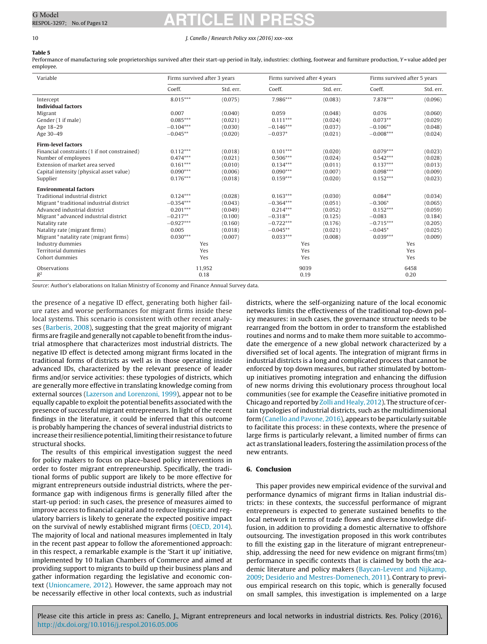### <span id="page-9-0"></span>10 J. Canello / Research Policy xxx (2016) xxx–xxx

**Table 5**

Performance of manufacturing sole proprietorships survived after their start-up period in Italy, industries: clothing, footwear and furniture production, Y = value added per employee.

| Variable                                     | Firms survived after 3 years |           | Firms survived after 4 years |           | Firms survived after 5 years |           |
|----------------------------------------------|------------------------------|-----------|------------------------------|-----------|------------------------------|-----------|
|                                              | Coeff.                       | Std. err. | Coeff.                       | Std. err. | Coeff.                       | Std. err. |
| Intercept                                    | $8.015***$                   | (0.075)   | 7.986***                     | (0.083)   | 7.878***                     | (0.096)   |
| <b>Individual factors</b>                    |                              |           |                              |           |                              |           |
| Migrant                                      | 0.007                        | (0.040)   | 0.059                        | (0.048)   | 0.076                        | (0.060)   |
| Gender (1 if male)                           | $0.085***$                   | (0.021)   | $0.111***$                   | (0.024)   | $0.073**$                    | (0.029)   |
| Age 18-29                                    | $-0.104***$                  | (0.030)   | $-0.146***$                  | (0.037)   | $-0.106**$                   | (0.048)   |
| Age 30-49                                    | $-0.045**$                   | (0.020)   | $-0.037*$                    | (0.021)   | $-0.008***$                  | (0.024)   |
| <b>Firm-level factors</b>                    |                              |           |                              |           |                              |           |
| Financial constraints (1 if not constrained) | $0.112***$                   | (0.018)   | $0.101***$                   | (0.020)   | $0.079***$                   | (0.023)   |
| Number of employees                          | $0.474***$                   | (0.021)   | $0.506***$                   | (0.024)   | $0.542***$                   | (0.028)   |
| Extension of market area served              | $0.161***$                   | (0.010)   | $0.134***$                   | (0.011)   | $0.137***$                   | (0.013)   |
| Capital intensity (physical asset value)     | $0.090***$                   | (0.006)   | $0.090***$                   | (0.007)   | $0.098***$                   | (0.009)   |
| Supplier                                     | $0.176***$                   | (0.018)   | $0.159***$                   | (0.020)   | $0.152***$                   | (0.023)   |
| <b>Environmental factors</b>                 |                              |           |                              |           |                              |           |
| Traditional industrial district              | $0.124***$                   | (0.028)   | $0.163***$                   | (0.030)   | $0.084**$                    | (0.034)   |
| Migrant * traditional industrial district    | $-0.354***$                  | (0.043)   | $-0.364***$                  | (0.051)   | $-0.306*$                    | (0.065)   |
| Advanced industrial district                 | $0.201***$                   | (0.049)   | $0.214***$                   | (0.052)   | $0.152***$                   | (0.059)   |
| Migrant * advanced industrial district       | $-0.217**$                   | (0.100)   | $-0.318**$                   | (0.125)   | $-0.083$                     | (0.184)   |
| Natality rate                                | $-0.927***$                  | (0.160)   | $-0.722***$                  | (0.176)   | $-0.715***$                  | (0.205)   |
| Natality rate (migrant firms)                | 0.005                        | (0.018)   | $-0.045**$                   | (0.021)   | $-0.045*$                    | (0.025)   |
| Migrant * natality rate (migrant firms)      | $0.030***$                   | (0.007)   | $0.033***$                   | (0.008)   | $0.039***$                   | (0.009)   |
| Industry dummies                             | Yes                          |           | Yes                          |           | Yes                          |           |
| <b>Territorial dummies</b>                   | Yes                          |           | Yes                          |           | Yes                          |           |
| Cohort dummies                               | Yes                          |           | Yes                          |           | Yes                          |           |
| Observations                                 | 11,952                       |           | 9039                         |           |                              | 6458      |
| $R^2$                                        | 0.18                         |           | 0.19                         |           |                              | 0.20      |

Source: Author's elaborations on Italian Ministry of Economy and Finance Annual Survey data.

the presence of a negative ID effect, generating both higher failure rates and worse performances for migrant firms inside these local systems. This scenario is consistent with other recent analyses ([Barberis,](#page-10-0) [2008\),](#page-10-0) suggesting that the great majority of migrant firms are fragile and generally not capable to benefit from the industrial atmosphere that characterizes most industrial districts. The negative ID effect is detected among migrant firms located in the traditional forms of districts as well as in those operating inside advanced IDs, characterized by the relevant presence of leader firms and/or service activities: these typologies of districts, which are generally more effective in translating knowledge coming from external sources ([Lazerson](#page-11-0) [and](#page-11-0) [Lorenzoni,](#page-11-0) [1999\),](#page-11-0) appear not to be equally capable to exploit the potential benefits associated with the presence of successful migrant entrepreneurs. In light of the recent findings in the literature, it could be inferred that this outcome is probably hampering the chances of several industrial districts to increase their resilience potential, limiting their resistance to future structural shocks.

The results of this empirical investigation suggest the need for policy makers to focus on place-based policy interventions in order to foster migrant entrepreneurship. Specifically, the traditional forms of public support are likely to be more effective for migrant entrepreneurs outside industrial districts, where the performance gap with indigenous firms is generally filled after the start-up period: in such cases, the presence of measures aimed to improve access to financial capital and to reduce linguistic and regulatory barriers is likely to generate the expected positive impact on the survival of newly established migrant firms [\(OECD,](#page-11-0) [2014\).](#page-11-0) The majority of local and national measures implemented in Italy in the recent past appear to follow the aforementioned approach: in this respect, a remarkable example is the 'Start it up' initiative, implemented by 10 Italian Chambers of Commerce and aimed at providing support to migrants to build up their business plans and gather information regarding the legislative and economic context ([Unioncamere,](#page-11-0) [2012\).](#page-11-0) However, the same approach may not be necessarily effective in other local contexts, such as industrial districts, where the self-organizing nature of the local economic networks limits the effectiveness of the traditional top-down policy measures: in such cases, the governance structure needs to be rearranged from the bottom in order to transform the established routines and norms and to make them more suitable to accommodate the emergence of a new global network characterized by a diversified set of local agents. The integration of migrant firms in industrial districts is a long and complicated process that cannot be enforced by top down measures, but rather stimulated by bottomup initiatives promoting integration and enhancing the diffusion of new norms driving this evolutionary process throughout local communities (see for example the Ceasefire initiative promoted in Chicago and reported by [Zolli](#page-11-0) [and](#page-11-0) [Healy,](#page-11-0) [2012\).](#page-11-0) The structure of certain typologies of industrial districts, such as the multidimensional form [\(Canello](#page-11-0) [and](#page-11-0) [Pavone,](#page-11-0) [2016\),](#page-11-0) appears to be particularly suitable to facilitate this process: in these contexts, where the presence of large firms is particularly relevant, a limited number of firms can act as translational leaders, fostering the assimilation process of the new entrants.

#### **6. Conclusion**

This paper provides new empirical evidence of the survival and performance dynamics of migrant firms in Italian industrial districts: in these contexts, the successful performance of migrant entrepreneurs is expected to generate sustained benefits to the local network in terms of trade flows and diverse knowledge diffusion, in addition to providing a domestic alternative to offshore outsourcing. The investigation proposed in this work contributes to fill the existing gap in the literature of migrant entrepreneurship, addressing the need for new evidence on migrant firms(tm) performance in specific contexts that is claimed by both the aca-demic literature and policy makers ([Baycan-Levent](#page-10-0) [and](#page-10-0) [Nijkamp,](#page-10-0) [2009;](#page-10-0) [Desiderio](#page-11-0) [and](#page-11-0) [Mestres-Domenech,](#page-11-0) [2011\).](#page-11-0) Contrary to previous empirical research on this topic, which is generally focused on small samples, this investigation is implemented on a large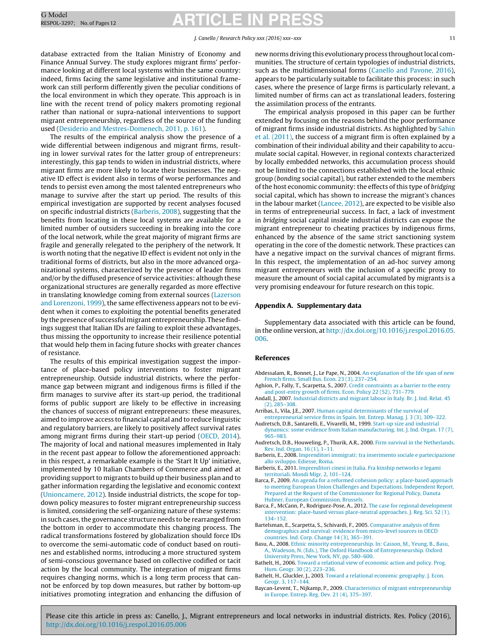<span id="page-10-0"></span>database extracted from the Italian Ministry of Economy and Finance Annual Survey. The study explores migrant firms' performance looking at different local systems within the same country: indeed, firms facing the same legislative and institutional framework can still perform differently given the peculiar conditions of the local environment in which they operate. This approach is in line with the recent trend of policy makers promoting regional rather than national or supra-national interventions to support migrant entrepreneurship, regardless of the source of the funding used ([Desiderio](#page-11-0) [and](#page-11-0) [Mestres-Domenech,](#page-11-0) [2011,](#page-11-0) [p.](#page-11-0) [161\).](#page-11-0)

The results of the empirical analysis show the presence of a wide differential between indigenous and migrant firms, resulting in lower survival rates for the latter group of entrepreneurs: interestingly, this gap tends to widen in industrial districts, where migrant firms are more likely to locate their businesses. The negative ID effect is evident also in terms of worse performances and tends to persist even among the most talented entrepreneurs who manage to survive after the start up period. The results of this empirical investigation are supported by recent analyses focused on specific industrial districts (Barberis, 2008), suggesting that the benefits from locating in these local systems are available for a limited number of outsiders succeeding in breaking into the core of the local network, while the great majority of migrant firms are fragile and generally relegated to the periphery of the network. It is worth noting that the negative ID effect is evident not only in the traditional forms of districts, but also in the more advanced organizational systems, characterized by the presence of leader firms and/or by the diffused presence of service activities: although these organizational structures are generally regarded as more effective in translating knowledge coming from external sources ([Lazerson](#page-11-0) [and](#page-11-0) [Lorenzoni,](#page-11-0) [1999\),](#page-11-0) the same effectiveness appears not to be evident when it comes to exploiting the potential benefits generated by the presence of successful migrant entrepreneurship. These findings suggest that Italian IDs are failing to exploit these advantages, thus missing the opportunity to increase their resilience potential that would help them in facing future shocks with greater chances of resistance.

The results of this empirical investigation suggest the importance of place-based policy interventions to foster migrant entrepreneurship. Outside industrial districts, where the performance gap between migrant and indigenous firms is filled if the firm manages to survive after its start-up period, the traditional forms of public support are likely to be effective in increasing the chances of success of migrant entrepreneurs: these measures, aimed to improve access to financial capital and to reduce linguistic and regulatory barriers, are likely to positively affect survival rates among migrant firms during their start-up period ([OECD,](#page-11-0) [2014\).](#page-11-0) The majority of local and national measures implemented in Italy in the recent past appear to follow the aforementioned approach: in this respect, a remarkable example is the 'Start It Up' initiative, implemented by 10 Italian Chambers of Commerce and aimed at providing support to migrants to build up their business plan and to gather information regarding the legislative and economic context ([Unioncamere,](#page-11-0) [2012\).](#page-11-0) Inside industrial districts, the scope for topdown policy measures to foster migrant entrepreneurship success is limited, considering the self-organizing nature of these systems: in such cases, the governance structure needs to be rearranged from the bottom in order to accommodate this changing process. The radical transformations fostered by globalization should force IDs to overcome the semi-automatic code of conduct based on routines and established norms, introducing a more structured system of semi-conscious governance based on collective codified or tacit action by the local community. The integration of migrant firms requires changing norms, which is a long term process that cannot be enforced by top down measures, but rather by bottom-up initiatives promoting integration and enhancing the diffusion of new norms driving this evolutionary process throughout local communities. The structure of certain typologies of industrial districts, such as the multidimensional forms ([Canello](#page-11-0) [and](#page-11-0) [Pavone,](#page-11-0) [2016\),](#page-11-0) appears to be particularly suitable to facilitate this process: in such cases, where the presence of large firms is particularly relevant, a limited number of firms can act as translational leaders, fostering the assimilation process of the entrants.

The empirical analysis proposed in this paper can be further extended by focusing on the reasons behind the poor performance of migrant firms inside industrial districts. As highlighted by [Sahin](#page-11-0) et [al.](#page-11-0) [\(2011\),](#page-11-0) the success of a migrant firm is often explained by a combination of their individual ability and their capability to accumulate social capital. However, in regional contexts characterized by locally embedded networks, this accumulation process should not be limited to the connections established with the local ethnic group (bonding social capital), but rather extended to the members of the host economic community: the effects of this type of bridging social capital, which has shown to increase the migrant's chances in the labour market ([Lancee,](#page-11-0) [2012\),](#page-11-0) are expected to be visible also in terms of entrepreneurial success. In fact, a lack of investment in bridging social capital inside industrial districts can expose the migrant entrepreneur to cheating practices by indigenous firms, enhanced by the absence of the same strict sanctioning system operating in the core of the domestic network. These practices can have a negative impact on the survival chances of migrant firms. In this respect, the implementation of an ad-hoc survey among migrant entrepreneurs with the inclusion of a specific proxy to measure the amount of social capital accumulated by migrants is a very promising endeavour for future research on this topic.

#### **Appendix A. Supplementary data**

Supplementary data associated with this article can be found, in the online version, at [http://dx.doi.org/10.1016/j.respol.2016.05.](http://dx.doi.org/10.1016/j.respol.2016.05.006) [006.](http://dx.doi.org/10.1016/j.respol.2016.05.006)

#### **References**

- Abdessalam, R., Bonnet, J., Le Pape, N., 2004. [An](http://refhub.elsevier.com/S0048-7333(16)30080-4/sbref0005) [explanation](http://refhub.elsevier.com/S0048-7333(16)30080-4/sbref0005) [of](http://refhub.elsevier.com/S0048-7333(16)30080-4/sbref0005) [the](http://refhub.elsevier.com/S0048-7333(16)30080-4/sbref0005) [life](http://refhub.elsevier.com/S0048-7333(16)30080-4/sbref0005) [span](http://refhub.elsevier.com/S0048-7333(16)30080-4/sbref0005) [of](http://refhub.elsevier.com/S0048-7333(16)30080-4/sbref0005) [new](http://refhub.elsevier.com/S0048-7333(16)30080-4/sbref0005) [French](http://refhub.elsevier.com/S0048-7333(16)30080-4/sbref0005) [firms.](http://refhub.elsevier.com/S0048-7333(16)30080-4/sbref0005) [Small](http://refhub.elsevier.com/S0048-7333(16)30080-4/sbref0005) [Bus.](http://refhub.elsevier.com/S0048-7333(16)30080-4/sbref0005) [Econ.](http://refhub.elsevier.com/S0048-7333(16)30080-4/sbref0005) [23](http://refhub.elsevier.com/S0048-7333(16)30080-4/sbref0005) [\(3\),](http://refhub.elsevier.com/S0048-7333(16)30080-4/sbref0005) [237–254.](http://refhub.elsevier.com/S0048-7333(16)30080-4/sbref0005)
- Aghion, P., Fally, T., Scarpetta, S., 2007. [Credit](http://refhub.elsevier.com/S0048-7333(16)30080-4/sbref0010) [constraints](http://refhub.elsevier.com/S0048-7333(16)30080-4/sbref0010) [as](http://refhub.elsevier.com/S0048-7333(16)30080-4/sbref0010) [a](http://refhub.elsevier.com/S0048-7333(16)30080-4/sbref0010) [barrier](http://refhub.elsevier.com/S0048-7333(16)30080-4/sbref0010) [to](http://refhub.elsevier.com/S0048-7333(16)30080-4/sbref0010) [the](http://refhub.elsevier.com/S0048-7333(16)30080-4/sbref0010) [entry](http://refhub.elsevier.com/S0048-7333(16)30080-4/sbref0010) [and](http://refhub.elsevier.com/S0048-7333(16)30080-4/sbref0010) [post-entry](http://refhub.elsevier.com/S0048-7333(16)30080-4/sbref0010) [growth](http://refhub.elsevier.com/S0048-7333(16)30080-4/sbref0010) [of](http://refhub.elsevier.com/S0048-7333(16)30080-4/sbref0010) [firms.](http://refhub.elsevier.com/S0048-7333(16)30080-4/sbref0010) [Econ.](http://refhub.elsevier.com/S0048-7333(16)30080-4/sbref0010) [Policy](http://refhub.elsevier.com/S0048-7333(16)30080-4/sbref0010) [22](http://refhub.elsevier.com/S0048-7333(16)30080-4/sbref0010) [\(52\),](http://refhub.elsevier.com/S0048-7333(16)30080-4/sbref0010) [731](http://refhub.elsevier.com/S0048-7333(16)30080-4/sbref0010)–[779.](http://refhub.elsevier.com/S0048-7333(16)30080-4/sbref0010)
- Andall, J., 2007. [Industrial](http://refhub.elsevier.com/S0048-7333(16)30080-4/sbref0015) [districts](http://refhub.elsevier.com/S0048-7333(16)30080-4/sbref0015) [and](http://refhub.elsevier.com/S0048-7333(16)30080-4/sbref0015) [migrant](http://refhub.elsevier.com/S0048-7333(16)30080-4/sbref0015) [labour](http://refhub.elsevier.com/S0048-7333(16)30080-4/sbref0015) [in](http://refhub.elsevier.com/S0048-7333(16)30080-4/sbref0015) [Italy.](http://refhub.elsevier.com/S0048-7333(16)30080-4/sbref0015) [Br.](http://refhub.elsevier.com/S0048-7333(16)30080-4/sbref0015) [J.](http://refhub.elsevier.com/S0048-7333(16)30080-4/sbref0015) [Ind.](http://refhub.elsevier.com/S0048-7333(16)30080-4/sbref0015) [Relat.](http://refhub.elsevier.com/S0048-7333(16)30080-4/sbref0015) [45](http://refhub.elsevier.com/S0048-7333(16)30080-4/sbref0015) [\(2\),](http://refhub.elsevier.com/S0048-7333(16)30080-4/sbref0015) [285](http://refhub.elsevier.com/S0048-7333(16)30080-4/sbref0015)–[308.](http://refhub.elsevier.com/S0048-7333(16)30080-4/sbref0015)
- Arribas, I., Vila, J.E., 2007. [Human](http://refhub.elsevier.com/S0048-7333(16)30080-4/sbref0020) [capital](http://refhub.elsevier.com/S0048-7333(16)30080-4/sbref0020) [determinants](http://refhub.elsevier.com/S0048-7333(16)30080-4/sbref0020) [of](http://refhub.elsevier.com/S0048-7333(16)30080-4/sbref0020) [the](http://refhub.elsevier.com/S0048-7333(16)30080-4/sbref0020) [survival](http://refhub.elsevier.com/S0048-7333(16)30080-4/sbref0020) [of](http://refhub.elsevier.com/S0048-7333(16)30080-4/sbref0020) [entrepreneurial](http://refhub.elsevier.com/S0048-7333(16)30080-4/sbref0020) [service](http://refhub.elsevier.com/S0048-7333(16)30080-4/sbref0020) [firms](http://refhub.elsevier.com/S0048-7333(16)30080-4/sbref0020) [in](http://refhub.elsevier.com/S0048-7333(16)30080-4/sbref0020) [Spain.](http://refhub.elsevier.com/S0048-7333(16)30080-4/sbref0020) [Int.](http://refhub.elsevier.com/S0048-7333(16)30080-4/sbref0020) [Entrep.](http://refhub.elsevier.com/S0048-7333(16)30080-4/sbref0020) [Manag.](http://refhub.elsevier.com/S0048-7333(16)30080-4/sbref0020) [J.](http://refhub.elsevier.com/S0048-7333(16)30080-4/sbref0020) [3](http://refhub.elsevier.com/S0048-7333(16)30080-4/sbref0020) [\(3\),](http://refhub.elsevier.com/S0048-7333(16)30080-4/sbref0020) [309](http://refhub.elsevier.com/S0048-7333(16)30080-4/sbref0020)–[322.](http://refhub.elsevier.com/S0048-7333(16)30080-4/sbref0020)
- Audretsch, D.B., Santarelli, E., Vivarelli, M., 1999. [Start-up](http://refhub.elsevier.com/S0048-7333(16)30080-4/sbref0025) [size](http://refhub.elsevier.com/S0048-7333(16)30080-4/sbref0025) [and](http://refhub.elsevier.com/S0048-7333(16)30080-4/sbref0025) [industrial](http://refhub.elsevier.com/S0048-7333(16)30080-4/sbref0025) [dynamics:](http://refhub.elsevier.com/S0048-7333(16)30080-4/sbref0025) [some](http://refhub.elsevier.com/S0048-7333(16)30080-4/sbref0025) [evidence](http://refhub.elsevier.com/S0048-7333(16)30080-4/sbref0025) [from](http://refhub.elsevier.com/S0048-7333(16)30080-4/sbref0025) [Italian](http://refhub.elsevier.com/S0048-7333(16)30080-4/sbref0025) [manufacturing.](http://refhub.elsevier.com/S0048-7333(16)30080-4/sbref0025) [Int.](http://refhub.elsevier.com/S0048-7333(16)30080-4/sbref0025) [J.](http://refhub.elsevier.com/S0048-7333(16)30080-4/sbref0025) [Ind.](http://refhub.elsevier.com/S0048-7333(16)30080-4/sbref0025) [Organ.](http://refhub.elsevier.com/S0048-7333(16)30080-4/sbref0025) [17](http://refhub.elsevier.com/S0048-7333(16)30080-4/sbref0025) [\(7\),](http://refhub.elsevier.com/S0048-7333(16)30080-4/sbref0025) [965–983.](http://refhub.elsevier.com/S0048-7333(16)30080-4/sbref0025)
- Audretsch, D.B., Houweling, P., Thurik, A.R., 2000. [Firm](http://refhub.elsevier.com/S0048-7333(16)30080-4/sbref0030) [survival](http://refhub.elsevier.com/S0048-7333(16)30080-4/sbref0030) [in](http://refhub.elsevier.com/S0048-7333(16)30080-4/sbref0030) [the](http://refhub.elsevier.com/S0048-7333(16)30080-4/sbref0030) [Netherlands.](http://refhub.elsevier.com/S0048-7333(16)30080-4/sbref0030) [Rev.](http://refhub.elsevier.com/S0048-7333(16)30080-4/sbref0030) [Ind.](http://refhub.elsevier.com/S0048-7333(16)30080-4/sbref0030) [Organ.](http://refhub.elsevier.com/S0048-7333(16)30080-4/sbref0030) [16](http://refhub.elsevier.com/S0048-7333(16)30080-4/sbref0030) [\(1\),](http://refhub.elsevier.com/S0048-7333(16)30080-4/sbref0030) [1–11.](http://refhub.elsevier.com/S0048-7333(16)30080-4/sbref0030)
- Barberis, E., 2008. [Imprenditori](http://refhub.elsevier.com/S0048-7333(16)30080-4/sbref0035) [immigrati:](http://refhub.elsevier.com/S0048-7333(16)30080-4/sbref0035) [tra](http://refhub.elsevier.com/S0048-7333(16)30080-4/sbref0035) [inserimento](http://refhub.elsevier.com/S0048-7333(16)30080-4/sbref0035) [sociale](http://refhub.elsevier.com/S0048-7333(16)30080-4/sbref0035) [e](http://refhub.elsevier.com/S0048-7333(16)30080-4/sbref0035) [partecipazione](http://refhub.elsevier.com/S0048-7333(16)30080-4/sbref0035) [allo](http://refhub.elsevier.com/S0048-7333(16)30080-4/sbref0035) [sviluppo.](http://refhub.elsevier.com/S0048-7333(16)30080-4/sbref0035) [Ediesse,](http://refhub.elsevier.com/S0048-7333(16)30080-4/sbref0035) [Roma.](http://refhub.elsevier.com/S0048-7333(16)30080-4/sbref0035)
- Barberis, E., 2011. [Imprenditori](http://refhub.elsevier.com/S0048-7333(16)30080-4/sbref0040) [cinesi](http://refhub.elsevier.com/S0048-7333(16)30080-4/sbref0040) [in](http://refhub.elsevier.com/S0048-7333(16)30080-4/sbref0040) [Italia.](http://refhub.elsevier.com/S0048-7333(16)30080-4/sbref0040) [Fra](http://refhub.elsevier.com/S0048-7333(16)30080-4/sbref0040) [kinship](http://refhub.elsevier.com/S0048-7333(16)30080-4/sbref0040) [networks](http://refhub.elsevier.com/S0048-7333(16)30080-4/sbref0040) [e](http://refhub.elsevier.com/S0048-7333(16)30080-4/sbref0040) [legami](http://refhub.elsevier.com/S0048-7333(16)30080-4/sbref0040) [territoriali.](http://refhub.elsevier.com/S0048-7333(16)30080-4/sbref0040) [Mondi](http://refhub.elsevier.com/S0048-7333(16)30080-4/sbref0040) [Migr.](http://refhub.elsevier.com/S0048-7333(16)30080-4/sbref0040) [2,](http://refhub.elsevier.com/S0048-7333(16)30080-4/sbref0040) [101–124.](http://refhub.elsevier.com/S0048-7333(16)30080-4/sbref0040)
- Barca, F., 2009. [An](http://refhub.elsevier.com/S0048-7333(16)30080-4/sbref0045) [agenda](http://refhub.elsevier.com/S0048-7333(16)30080-4/sbref0045) [for](http://refhub.elsevier.com/S0048-7333(16)30080-4/sbref0045) [a](http://refhub.elsevier.com/S0048-7333(16)30080-4/sbref0045) [reformed](http://refhub.elsevier.com/S0048-7333(16)30080-4/sbref0045) [cohesion](http://refhub.elsevier.com/S0048-7333(16)30080-4/sbref0045) [policy:](http://refhub.elsevier.com/S0048-7333(16)30080-4/sbref0045) [a](http://refhub.elsevier.com/S0048-7333(16)30080-4/sbref0045) [place-based](http://refhub.elsevier.com/S0048-7333(16)30080-4/sbref0045) [approach](http://refhub.elsevier.com/S0048-7333(16)30080-4/sbref0045) [to](http://refhub.elsevier.com/S0048-7333(16)30080-4/sbref0045) [meeting](http://refhub.elsevier.com/S0048-7333(16)30080-4/sbref0045) [European](http://refhub.elsevier.com/S0048-7333(16)30080-4/sbref0045) [Union](http://refhub.elsevier.com/S0048-7333(16)30080-4/sbref0045) [Challenges](http://refhub.elsevier.com/S0048-7333(16)30080-4/sbref0045) [and](http://refhub.elsevier.com/S0048-7333(16)30080-4/sbref0045) [Expectations.](http://refhub.elsevier.com/S0048-7333(16)30080-4/sbref0045) [Independent](http://refhub.elsevier.com/S0048-7333(16)30080-4/sbref0045) [Report.](http://refhub.elsevier.com/S0048-7333(16)30080-4/sbref0045) [Prepared](http://refhub.elsevier.com/S0048-7333(16)30080-4/sbref0045) [at](http://refhub.elsevier.com/S0048-7333(16)30080-4/sbref0045) [the](http://refhub.elsevier.com/S0048-7333(16)30080-4/sbref0045) [Request](http://refhub.elsevier.com/S0048-7333(16)30080-4/sbref0045) [of](http://refhub.elsevier.com/S0048-7333(16)30080-4/sbref0045) [the](http://refhub.elsevier.com/S0048-7333(16)30080-4/sbref0045) [Commissioner](http://refhub.elsevier.com/S0048-7333(16)30080-4/sbref0045) [for](http://refhub.elsevier.com/S0048-7333(16)30080-4/sbref0045) [Regional](http://refhub.elsevier.com/S0048-7333(16)30080-4/sbref0045) [Policy,](http://refhub.elsevier.com/S0048-7333(16)30080-4/sbref0045) [Danuta](http://refhub.elsevier.com/S0048-7333(16)30080-4/sbref0045) [Hubner,](http://refhub.elsevier.com/S0048-7333(16)30080-4/sbref0045) [European](http://refhub.elsevier.com/S0048-7333(16)30080-4/sbref0045) [Commission,](http://refhub.elsevier.com/S0048-7333(16)30080-4/sbref0045) [Brussels.](http://refhub.elsevier.com/S0048-7333(16)30080-4/sbref0045)
- Barca, F., McCann, P., Rodriguez-Pose, A., 2012. [The](http://refhub.elsevier.com/S0048-7333(16)30080-4/sbref0050) [case](http://refhub.elsevier.com/S0048-7333(16)30080-4/sbref0050) [for](http://refhub.elsevier.com/S0048-7333(16)30080-4/sbref0050) [regional](http://refhub.elsevier.com/S0048-7333(16)30080-4/sbref0050) [development](http://refhub.elsevier.com/S0048-7333(16)30080-4/sbref0050) [intervention:](http://refhub.elsevier.com/S0048-7333(16)30080-4/sbref0050) [place-based](http://refhub.elsevier.com/S0048-7333(16)30080-4/sbref0050) [versus](http://refhub.elsevier.com/S0048-7333(16)30080-4/sbref0050) [place-neutral](http://refhub.elsevier.com/S0048-7333(16)30080-4/sbref0050) [approaches.](http://refhub.elsevier.com/S0048-7333(16)30080-4/sbref0050) [J.](http://refhub.elsevier.com/S0048-7333(16)30080-4/sbref0050) [Reg.](http://refhub.elsevier.com/S0048-7333(16)30080-4/sbref0050) [Sci.](http://refhub.elsevier.com/S0048-7333(16)30080-4/sbref0050) [52](http://refhub.elsevier.com/S0048-7333(16)30080-4/sbref0050) [\(1\),](http://refhub.elsevier.com/S0048-7333(16)30080-4/sbref0050) [134–152.](http://refhub.elsevier.com/S0048-7333(16)30080-4/sbref0050)
- Bartelsman, E., Scarpetta, S., Schivardi, F., 2005. [Comparative](http://refhub.elsevier.com/S0048-7333(16)30080-4/sbref0055) [analysis](http://refhub.elsevier.com/S0048-7333(16)30080-4/sbref0055) [of](http://refhub.elsevier.com/S0048-7333(16)30080-4/sbref0055) [firm](http://refhub.elsevier.com/S0048-7333(16)30080-4/sbref0055) [demographics](http://refhub.elsevier.com/S0048-7333(16)30080-4/sbref0055) [and](http://refhub.elsevier.com/S0048-7333(16)30080-4/sbref0055) [survival:](http://refhub.elsevier.com/S0048-7333(16)30080-4/sbref0055) [evidence](http://refhub.elsevier.com/S0048-7333(16)30080-4/sbref0055) [from](http://refhub.elsevier.com/S0048-7333(16)30080-4/sbref0055) [micro-level](http://refhub.elsevier.com/S0048-7333(16)30080-4/sbref0055) [sources](http://refhub.elsevier.com/S0048-7333(16)30080-4/sbref0055) [in](http://refhub.elsevier.com/S0048-7333(16)30080-4/sbref0055) [OECD](http://refhub.elsevier.com/S0048-7333(16)30080-4/sbref0055) [countries.](http://refhub.elsevier.com/S0048-7333(16)30080-4/sbref0055) [Ind.](http://refhub.elsevier.com/S0048-7333(16)30080-4/sbref0055) [Corp.](http://refhub.elsevier.com/S0048-7333(16)30080-4/sbref0055) [Change](http://refhub.elsevier.com/S0048-7333(16)30080-4/sbref0055) [14](http://refhub.elsevier.com/S0048-7333(16)30080-4/sbref0055) [\(3\),](http://refhub.elsevier.com/S0048-7333(16)30080-4/sbref0055) [365](http://refhub.elsevier.com/S0048-7333(16)30080-4/sbref0055)–[391.](http://refhub.elsevier.com/S0048-7333(16)30080-4/sbref0055)
- Basu, A., 2008. [Ethnic](http://refhub.elsevier.com/S0048-7333(16)30080-4/sbref0060) [minority](http://refhub.elsevier.com/S0048-7333(16)30080-4/sbref0060) [entrepreneurship.](http://refhub.elsevier.com/S0048-7333(16)30080-4/sbref0060) [In:](http://refhub.elsevier.com/S0048-7333(16)30080-4/sbref0060) [Casson,](http://refhub.elsevier.com/S0048-7333(16)30080-4/sbref0060) [M.,](http://refhub.elsevier.com/S0048-7333(16)30080-4/sbref0060) [Yeung,](http://refhub.elsevier.com/S0048-7333(16)30080-4/sbref0060) [B.,](http://refhub.elsevier.com/S0048-7333(16)30080-4/sbref0060) [Basu,](http://refhub.elsevier.com/S0048-7333(16)30080-4/sbref0060) [A.,](http://refhub.elsevier.com/S0048-7333(16)30080-4/sbref0060) [Wadeson,](http://refhub.elsevier.com/S0048-7333(16)30080-4/sbref0060) [N.](http://refhub.elsevier.com/S0048-7333(16)30080-4/sbref0060) [\(Eds.\),](http://refhub.elsevier.com/S0048-7333(16)30080-4/sbref0060) [The](http://refhub.elsevier.com/S0048-7333(16)30080-4/sbref0060) [Oxford](http://refhub.elsevier.com/S0048-7333(16)30080-4/sbref0060) [Handbook](http://refhub.elsevier.com/S0048-7333(16)30080-4/sbref0060) [of](http://refhub.elsevier.com/S0048-7333(16)30080-4/sbref0060) [Entrepreneurship.](http://refhub.elsevier.com/S0048-7333(16)30080-4/sbref0060) [Oxford](http://refhub.elsevier.com/S0048-7333(16)30080-4/sbref0060) [University](http://refhub.elsevier.com/S0048-7333(16)30080-4/sbref0060) [Press,](http://refhub.elsevier.com/S0048-7333(16)30080-4/sbref0060) [New](http://refhub.elsevier.com/S0048-7333(16)30080-4/sbref0060) [York,](http://refhub.elsevier.com/S0048-7333(16)30080-4/sbref0060) [NY,](http://refhub.elsevier.com/S0048-7333(16)30080-4/sbref0060) [pp.](http://refhub.elsevier.com/S0048-7333(16)30080-4/sbref0060) [580](http://refhub.elsevier.com/S0048-7333(16)30080-4/sbref0060)–[600.](http://refhub.elsevier.com/S0048-7333(16)30080-4/sbref0060)
- Bathelt, H., 2006. [Toward](http://refhub.elsevier.com/S0048-7333(16)30080-4/sbref0065) [a](http://refhub.elsevier.com/S0048-7333(16)30080-4/sbref0065) [relational](http://refhub.elsevier.com/S0048-7333(16)30080-4/sbref0065) [view](http://refhub.elsevier.com/S0048-7333(16)30080-4/sbref0065) [of](http://refhub.elsevier.com/S0048-7333(16)30080-4/sbref0065) [economic](http://refhub.elsevier.com/S0048-7333(16)30080-4/sbref0065) [action](http://refhub.elsevier.com/S0048-7333(16)30080-4/sbref0065) [and](http://refhub.elsevier.com/S0048-7333(16)30080-4/sbref0065) [policy.](http://refhub.elsevier.com/S0048-7333(16)30080-4/sbref0065) [Prog.](http://refhub.elsevier.com/S0048-7333(16)30080-4/sbref0065) [Hum.](http://refhub.elsevier.com/S0048-7333(16)30080-4/sbref0065) [Geogr.](http://refhub.elsevier.com/S0048-7333(16)30080-4/sbref0065) [30](http://refhub.elsevier.com/S0048-7333(16)30080-4/sbref0065) [\(2\),](http://refhub.elsevier.com/S0048-7333(16)30080-4/sbref0065) [223](http://refhub.elsevier.com/S0048-7333(16)30080-4/sbref0065)–[236.](http://refhub.elsevier.com/S0048-7333(16)30080-4/sbref0065)
- Bathelt, H., Gluckler, J., 2003. [Toward](http://refhub.elsevier.com/S0048-7333(16)30080-4/sbref0070) [a](http://refhub.elsevier.com/S0048-7333(16)30080-4/sbref0070) [relational](http://refhub.elsevier.com/S0048-7333(16)30080-4/sbref0070) [economic](http://refhub.elsevier.com/S0048-7333(16)30080-4/sbref0070) [geography.](http://refhub.elsevier.com/S0048-7333(16)30080-4/sbref0070) [J.](http://refhub.elsevier.com/S0048-7333(16)30080-4/sbref0070) [Econ.](http://refhub.elsevier.com/S0048-7333(16)30080-4/sbref0070) [Geogr.](http://refhub.elsevier.com/S0048-7333(16)30080-4/sbref0070) [3,](http://refhub.elsevier.com/S0048-7333(16)30080-4/sbref0070) [117](http://refhub.elsevier.com/S0048-7333(16)30080-4/sbref0070)–[144.](http://refhub.elsevier.com/S0048-7333(16)30080-4/sbref0070)
- Baycan-Levent, T., Nijkamp, P., 2009. [Characteristics](http://refhub.elsevier.com/S0048-7333(16)30080-4/sbref0075) [of](http://refhub.elsevier.com/S0048-7333(16)30080-4/sbref0075) [migrant](http://refhub.elsevier.com/S0048-7333(16)30080-4/sbref0075) [entrepreneurship](http://refhub.elsevier.com/S0048-7333(16)30080-4/sbref0075) [in](http://refhub.elsevier.com/S0048-7333(16)30080-4/sbref0075) [Europe.](http://refhub.elsevier.com/S0048-7333(16)30080-4/sbref0075) [Entrep.](http://refhub.elsevier.com/S0048-7333(16)30080-4/sbref0075) [Reg.](http://refhub.elsevier.com/S0048-7333(16)30080-4/sbref0075) [Dev.](http://refhub.elsevier.com/S0048-7333(16)30080-4/sbref0075) [21](http://refhub.elsevier.com/S0048-7333(16)30080-4/sbref0075) [\(4\),](http://refhub.elsevier.com/S0048-7333(16)30080-4/sbref0075) [375](http://refhub.elsevier.com/S0048-7333(16)30080-4/sbref0075)–[397.](http://refhub.elsevier.com/S0048-7333(16)30080-4/sbref0075)